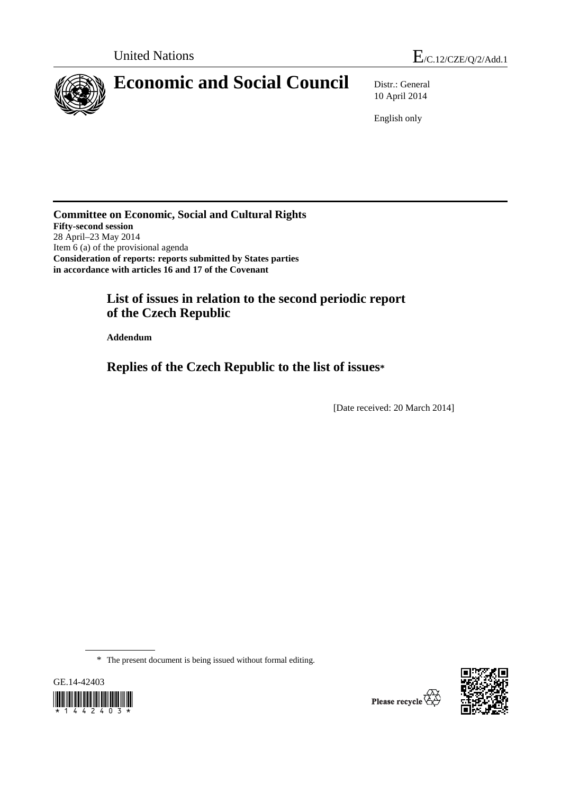

10 April 2014

English only

**Committee on Economic, Social and Cultural Rights Fifty-second session**  28 April–23 May 2014 Item 6 (a) of the provisional agenda **Consideration of reports: reports submitted by States parties in accordance with articles 16 and 17 of the Covenant** 

## **List of issues in relation to the second periodic report of the Czech Republic**

 **Addendum** 

 **Replies of the Czech Republic to the list of issues\*** 

[Date received: 20 March 2014]

\* The present document is being issued without formal editing.



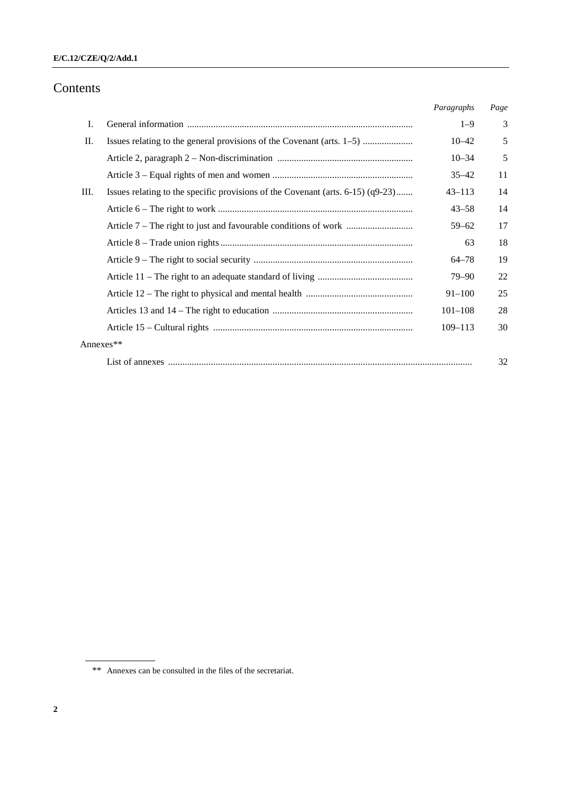## Contents

|    |                                                                                        | Paragraphs  | Page |
|----|----------------------------------------------------------------------------------------|-------------|------|
| I. |                                                                                        | $1 - 9$     | 3    |
| П. | Issues relating to the general provisions of the Covenant (arts. 1–5)                  | $10 - 42$   | 5    |
|    |                                                                                        | $10 - 34$   | 5    |
|    |                                                                                        | $35 - 42$   | 11   |
| Ш. | Issues relating to the specific provisions of the Covenant (arts. $6-15$ ) ( $q9-23$ ) | $43 - 113$  | 14   |
|    |                                                                                        | $43 - 58$   | 14   |
|    |                                                                                        | $59 - 62$   | 17   |
|    |                                                                                        | 63          | 18   |
|    |                                                                                        | $64 - 78$   | 19   |
|    |                                                                                        | 79–90       | 22   |
|    |                                                                                        | $91 - 100$  | 25   |
|    |                                                                                        | $101 - 108$ | 28   |
|    |                                                                                        | $109 - 113$ | 30   |
|    | Annexes**                                                                              |             |      |
|    |                                                                                        |             | 32   |

\*\* Annexes can be consulted in the files of the secretariat.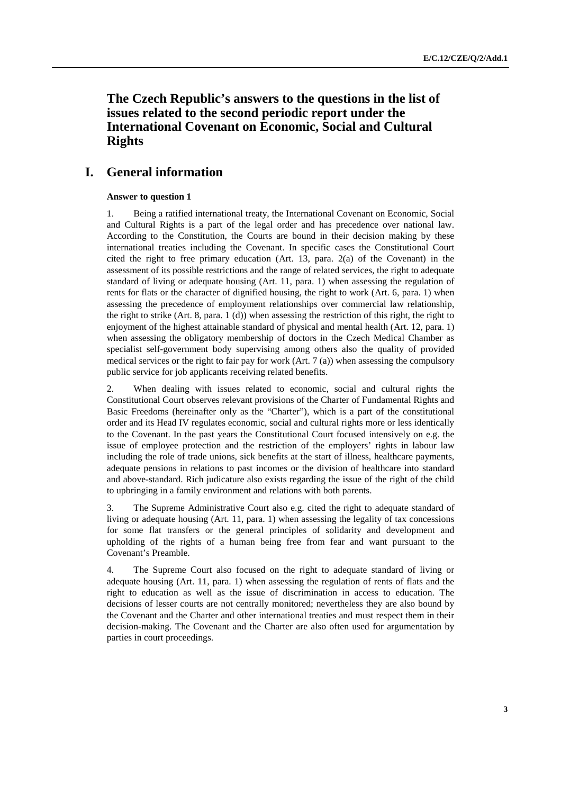## **The Czech Republic's answers to the questions in the list of issues related to the second periodic report under the International Covenant on Economic, Social and Cultural Rights**

## **I. General information**

#### **Answer to question 1**

1. Being a ratified international treaty, the International Covenant on Economic, Social and Cultural Rights is a part of the legal order and has precedence over national law. According to the Constitution, the Courts are bound in their decision making by these international treaties including the Covenant. In specific cases the Constitutional Court cited the right to free primary education (Art. 13, para. 2(a) of the Covenant) in the assessment of its possible restrictions and the range of related services, the right to adequate standard of living or adequate housing (Art. 11, para. 1) when assessing the regulation of rents for flats or the character of dignified housing, the right to work (Art. 6, para. 1) when assessing the precedence of employment relationships over commercial law relationship, the right to strike (Art. 8, para. 1 (d)) when assessing the restriction of this right, the right to enjoyment of the highest attainable standard of physical and mental health (Art. 12, para. 1) when assessing the obligatory membership of doctors in the Czech Medical Chamber as specialist self-government body supervising among others also the quality of provided medical services or the right to fair pay for work  $(Art. 7 (a))$  when assessing the compulsory public service for job applicants receiving related benefits.

2. When dealing with issues related to economic, social and cultural rights the Constitutional Court observes relevant provisions of the Charter of Fundamental Rights and Basic Freedoms (hereinafter only as the "Charter"), which is a part of the constitutional order and its Head IV regulates economic, social and cultural rights more or less identically to the Covenant. In the past years the Constitutional Court focused intensively on e.g. the issue of employee protection and the restriction of the employers' rights in labour law including the role of trade unions, sick benefits at the start of illness, healthcare payments, adequate pensions in relations to past incomes or the division of healthcare into standard and above-standard. Rich judicature also exists regarding the issue of the right of the child to upbringing in a family environment and relations with both parents.

3. The Supreme Administrative Court also e.g. cited the right to adequate standard of living or adequate housing (Art. 11, para. 1) when assessing the legality of tax concessions for some flat transfers or the general principles of solidarity and development and upholding of the rights of a human being free from fear and want pursuant to the Covenant's Preamble.

4. The Supreme Court also focused on the right to adequate standard of living or adequate housing (Art. 11, para. 1) when assessing the regulation of rents of flats and the right to education as well as the issue of discrimination in access to education. The decisions of lesser courts are not centrally monitored; nevertheless they are also bound by the Covenant and the Charter and other international treaties and must respect them in their decision-making. The Covenant and the Charter are also often used for argumentation by parties in court proceedings.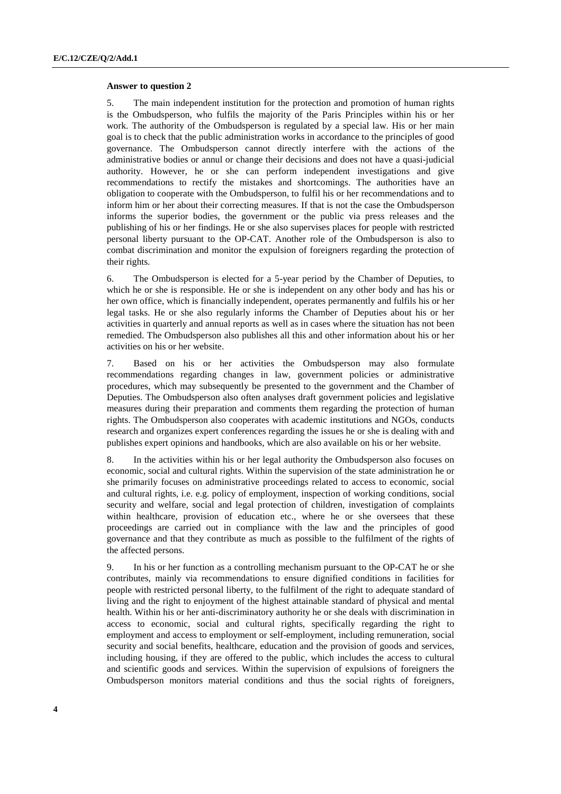#### **Answer to question 2**

5. The main independent institution for the protection and promotion of human rights is the Ombudsperson, who fulfils the majority of the Paris Principles within his or her work. The authority of the Ombudsperson is regulated by a special law. His or her main goal is to check that the public administration works in accordance to the principles of good governance. The Ombudsperson cannot directly interfere with the actions of the administrative bodies or annul or change their decisions and does not have a quasi-judicial authority. However, he or she can perform independent investigations and give recommendations to rectify the mistakes and shortcomings. The authorities have an obligation to cooperate with the Ombudsperson, to fulfil his or her recommendations and to inform him or her about their correcting measures. If that is not the case the Ombudsperson informs the superior bodies, the government or the public via press releases and the publishing of his or her findings. He or she also supervises places for people with restricted personal liberty pursuant to the OP-CAT. Another role of the Ombudsperson is also to combat discrimination and monitor the expulsion of foreigners regarding the protection of their rights.

6. The Ombudsperson is elected for a 5-year period by the Chamber of Deputies, to which he or she is responsible. He or she is independent on any other body and has his or her own office, which is financially independent, operates permanently and fulfils his or her legal tasks. He or she also regularly informs the Chamber of Deputies about his or her activities in quarterly and annual reports as well as in cases where the situation has not been remedied. The Ombudsperson also publishes all this and other information about his or her activities on his or her website.

7. Based on his or her activities the Ombudsperson may also formulate recommendations regarding changes in law, government policies or administrative procedures, which may subsequently be presented to the government and the Chamber of Deputies. The Ombudsperson also often analyses draft government policies and legislative measures during their preparation and comments them regarding the protection of human rights. The Ombudsperson also cooperates with academic institutions and NGOs, conducts research and organizes expert conferences regarding the issues he or she is dealing with and publishes expert opinions and handbooks, which are also available on his or her website.

8. In the activities within his or her legal authority the Ombudsperson also focuses on economic, social and cultural rights. Within the supervision of the state administration he or she primarily focuses on administrative proceedings related to access to economic, social and cultural rights, i.e. e.g. policy of employment, inspection of working conditions, social security and welfare, social and legal protection of children, investigation of complaints within healthcare, provision of education etc., where he or she oversees that these proceedings are carried out in compliance with the law and the principles of good governance and that they contribute as much as possible to the fulfilment of the rights of the affected persons.

9. In his or her function as a controlling mechanism pursuant to the OP-CAT he or she contributes, mainly via recommendations to ensure dignified conditions in facilities for people with restricted personal liberty, to the fulfilment of the right to adequate standard of living and the right to enjoyment of the highest attainable standard of physical and mental health. Within his or her anti-discriminatory authority he or she deals with discrimination in access to economic, social and cultural rights, specifically regarding the right to employment and access to employment or self-employment, including remuneration, social security and social benefits, healthcare, education and the provision of goods and services, including housing, if they are offered to the public, which includes the access to cultural and scientific goods and services. Within the supervision of expulsions of foreigners the Ombudsperson monitors material conditions and thus the social rights of foreigners,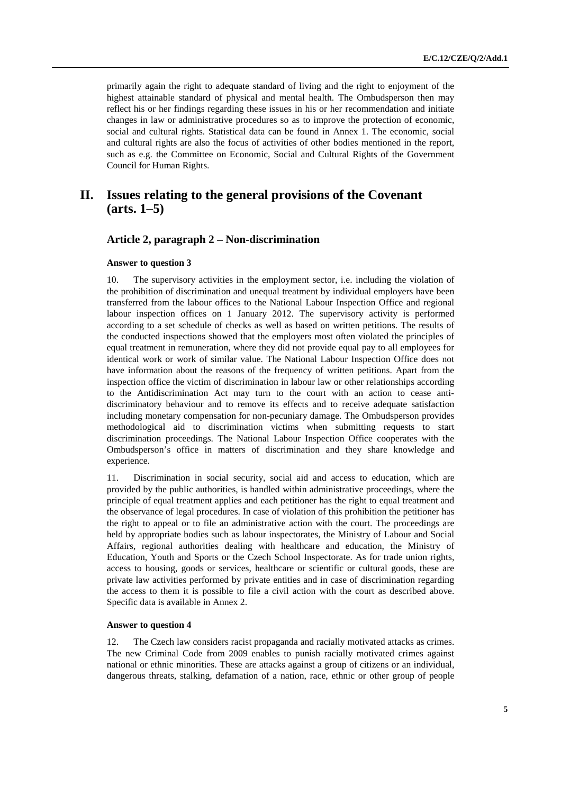primarily again the right to adequate standard of living and the right to enjoyment of the highest attainable standard of physical and mental health. The Ombudsperson then may reflect his or her findings regarding these issues in his or her recommendation and initiate changes in law or administrative procedures so as to improve the protection of economic, social and cultural rights. Statistical data can be found in Annex 1. The economic, social and cultural rights are also the focus of activities of other bodies mentioned in the report, such as e.g. the Committee on Economic, Social and Cultural Rights of the Government Council for Human Rights.

## **II. Issues relating to the general provisions of the Covenant (arts. 1–5)**

## **Article 2, paragraph 2 – Non-discrimination**

#### **Answer to question 3**

10. The supervisory activities in the employment sector, i.e. including the violation of the prohibition of discrimination and unequal treatment by individual employers have been transferred from the labour offices to the National Labour Inspection Office and regional labour inspection offices on 1 January 2012. The supervisory activity is performed according to a set schedule of checks as well as based on written petitions. The results of the conducted inspections showed that the employers most often violated the principles of equal treatment in remuneration, where they did not provide equal pay to all employees for identical work or work of similar value. The National Labour Inspection Office does not have information about the reasons of the frequency of written petitions. Apart from the inspection office the victim of discrimination in labour law or other relationships according to the Antidiscrimination Act may turn to the court with an action to cease antidiscriminatory behaviour and to remove its effects and to receive adequate satisfaction including monetary compensation for non-pecuniary damage. The Ombudsperson provides methodological aid to discrimination victims when submitting requests to start discrimination proceedings. The National Labour Inspection Office cooperates with the Ombudsperson's office in matters of discrimination and they share knowledge and experience.

11. Discrimination in social security, social aid and access to education, which are provided by the public authorities, is handled within administrative proceedings, where the principle of equal treatment applies and each petitioner has the right to equal treatment and the observance of legal procedures. In case of violation of this prohibition the petitioner has the right to appeal or to file an administrative action with the court. The proceedings are held by appropriate bodies such as labour inspectorates, the Ministry of Labour and Social Affairs, regional authorities dealing with healthcare and education, the Ministry of Education, Youth and Sports or the Czech School Inspectorate. As for trade union rights, access to housing, goods or services, healthcare or scientific or cultural goods, these are private law activities performed by private entities and in case of discrimination regarding the access to them it is possible to file a civil action with the court as described above. Specific data is available in Annex 2.

### **Answer to question 4**

12. The Czech law considers racist propaganda and racially motivated attacks as crimes. The new Criminal Code from 2009 enables to punish racially motivated crimes against national or ethnic minorities. These are attacks against a group of citizens or an individual, dangerous threats, stalking, defamation of a nation, race, ethnic or other group of people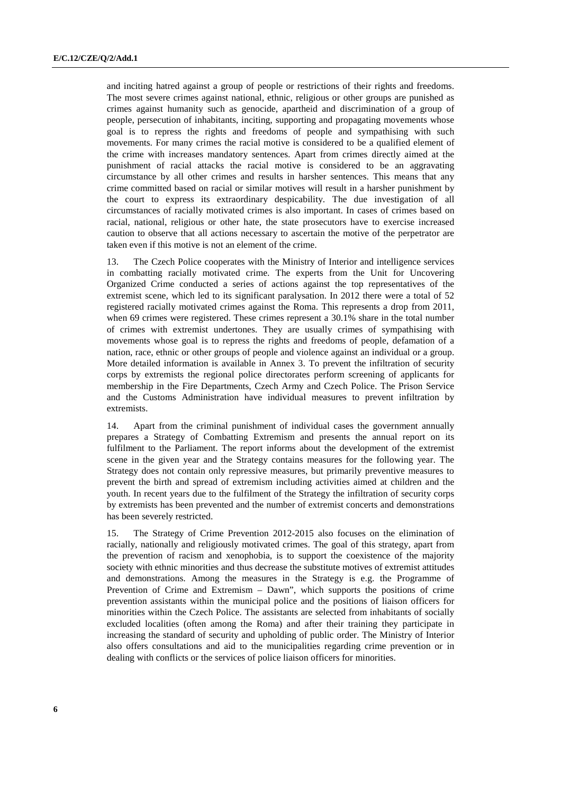and inciting hatred against a group of people or restrictions of their rights and freedoms. The most severe crimes against national, ethnic, religious or other groups are punished as crimes against humanity such as genocide, apartheid and discrimination of a group of people, persecution of inhabitants, inciting, supporting and propagating movements whose goal is to repress the rights and freedoms of people and sympathising with such movements. For many crimes the racial motive is considered to be a qualified element of the crime with increases mandatory sentences. Apart from crimes directly aimed at the punishment of racial attacks the racial motive is considered to be an aggravating circumstance by all other crimes and results in harsher sentences. This means that any crime committed based on racial or similar motives will result in a harsher punishment by the court to express its extraordinary despicability. The due investigation of all circumstances of racially motivated crimes is also important. In cases of crimes based on racial, national, religious or other hate, the state prosecutors have to exercise increased caution to observe that all actions necessary to ascertain the motive of the perpetrator are taken even if this motive is not an element of the crime.

13. The Czech Police cooperates with the Ministry of Interior and intelligence services in combatting racially motivated crime. The experts from the Unit for Uncovering Organized Crime conducted a series of actions against the top representatives of the extremist scene, which led to its significant paralysation. In 2012 there were a total of 52 registered racially motivated crimes against the Roma. This represents a drop from 2011, when 69 crimes were registered. These crimes represent a 30.1% share in the total number of crimes with extremist undertones. They are usually crimes of sympathising with movements whose goal is to repress the rights and freedoms of people, defamation of a nation, race, ethnic or other groups of people and violence against an individual or a group. More detailed information is available in Annex 3. To prevent the infiltration of security corps by extremists the regional police directorates perform screening of applicants for membership in the Fire Departments, Czech Army and Czech Police. The Prison Service and the Customs Administration have individual measures to prevent infiltration by extremists.

14. Apart from the criminal punishment of individual cases the government annually prepares a Strategy of Combatting Extremism and presents the annual report on its fulfilment to the Parliament. The report informs about the development of the extremist scene in the given year and the Strategy contains measures for the following year. The Strategy does not contain only repressive measures, but primarily preventive measures to prevent the birth and spread of extremism including activities aimed at children and the youth. In recent years due to the fulfilment of the Strategy the infiltration of security corps by extremists has been prevented and the number of extremist concerts and demonstrations has been severely restricted.

15. The Strategy of Crime Prevention 2012-2015 also focuses on the elimination of racially, nationally and religiously motivated crimes. The goal of this strategy, apart from the prevention of racism and xenophobia, is to support the coexistence of the majority society with ethnic minorities and thus decrease the substitute motives of extremist attitudes and demonstrations. Among the measures in the Strategy is e.g. the Programme of Prevention of Crime and Extremism – Dawn", which supports the positions of crime prevention assistants within the municipal police and the positions of liaison officers for minorities within the Czech Police. The assistants are selected from inhabitants of socially excluded localities (often among the Roma) and after their training they participate in increasing the standard of security and upholding of public order. The Ministry of Interior also offers consultations and aid to the municipalities regarding crime prevention or in dealing with conflicts or the services of police liaison officers for minorities.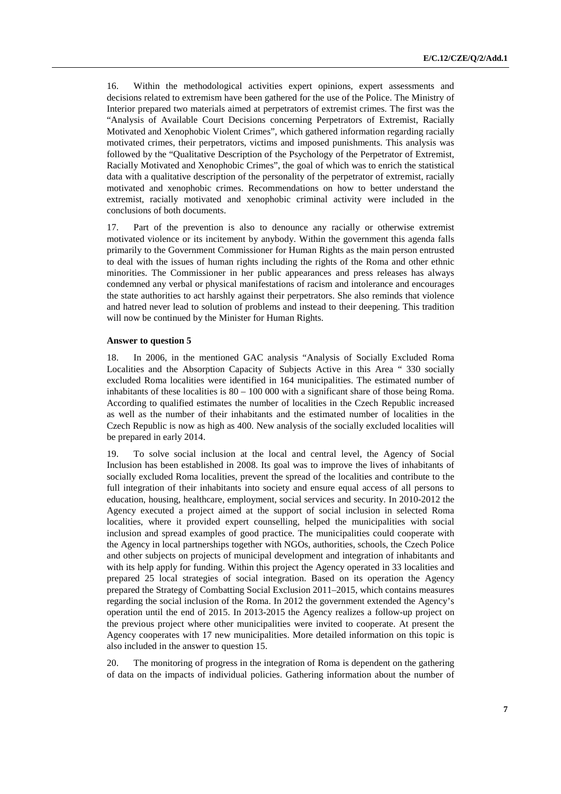16. Within the methodological activities expert opinions, expert assessments and decisions related to extremism have been gathered for the use of the Police. The Ministry of Interior prepared two materials aimed at perpetrators of extremist crimes. The first was the "Analysis of Available Court Decisions concerning Perpetrators of Extremist, Racially Motivated and Xenophobic Violent Crimes", which gathered information regarding racially motivated crimes, their perpetrators, victims and imposed punishments. This analysis was followed by the "Qualitative Description of the Psychology of the Perpetrator of Extremist, Racially Motivated and Xenophobic Crimes", the goal of which was to enrich the statistical data with a qualitative description of the personality of the perpetrator of extremist, racially motivated and xenophobic crimes. Recommendations on how to better understand the extremist, racially motivated and xenophobic criminal activity were included in the conclusions of both documents.

17. Part of the prevention is also to denounce any racially or otherwise extremist motivated violence or its incitement by anybody. Within the government this agenda falls primarily to the Government Commissioner for Human Rights as the main person entrusted to deal with the issues of human rights including the rights of the Roma and other ethnic minorities. The Commissioner in her public appearances and press releases has always condemned any verbal or physical manifestations of racism and intolerance and encourages the state authorities to act harshly against their perpetrators. She also reminds that violence and hatred never lead to solution of problems and instead to their deepening. This tradition will now be continued by the Minister for Human Rights.

#### **Answer to question 5**

18. In 2006, in the mentioned GAC analysis "Analysis of Socially Excluded Roma Localities and the Absorption Capacity of Subjects Active in this Area " 330 socially excluded Roma localities were identified in 164 municipalities. The estimated number of inhabitants of these localities is  $80 - 100\,000$  with a significant share of those being Roma. According to qualified estimates the number of localities in the Czech Republic increased as well as the number of their inhabitants and the estimated number of localities in the Czech Republic is now as high as 400. New analysis of the socially excluded localities will be prepared in early 2014.

19. To solve social inclusion at the local and central level, the Agency of Social Inclusion has been established in 2008. Its goal was to improve the lives of inhabitants of socially excluded Roma localities, prevent the spread of the localities and contribute to the full integration of their inhabitants into society and ensure equal access of all persons to education, housing, healthcare, employment, social services and security. In 2010-2012 the Agency executed a project aimed at the support of social inclusion in selected Roma localities, where it provided expert counselling, helped the municipalities with social inclusion and spread examples of good practice. The municipalities could cooperate with the Agency in local partnerships together with NGOs, authorities, schools, the Czech Police and other subjects on projects of municipal development and integration of inhabitants and with its help apply for funding. Within this project the Agency operated in 33 localities and prepared 25 local strategies of social integration. Based on its operation the Agency prepared the Strategy of Combatting Social Exclusion 2011–2015, which contains measures regarding the social inclusion of the Roma. In 2012 the government extended the Agency's operation until the end of 2015. In 2013-2015 the Agency realizes a follow-up project on the previous project where other municipalities were invited to cooperate. At present the Agency cooperates with 17 new municipalities. More detailed information on this topic is also included in the answer to question 15.

20. The monitoring of progress in the integration of Roma is dependent on the gathering of data on the impacts of individual policies. Gathering information about the number of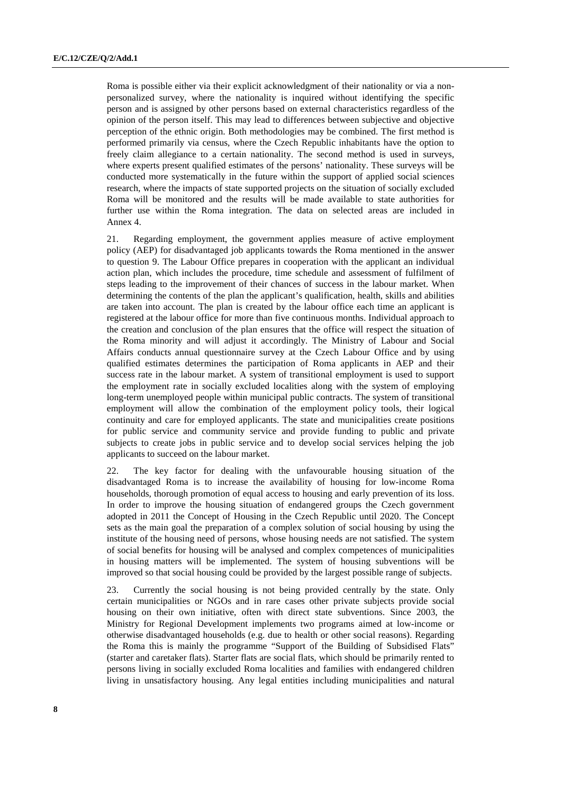Roma is possible either via their explicit acknowledgment of their nationality or via a nonpersonalized survey, where the nationality is inquired without identifying the specific person and is assigned by other persons based on external characteristics regardless of the opinion of the person itself. This may lead to differences between subjective and objective perception of the ethnic origin. Both methodologies may be combined. The first method is performed primarily via census, where the Czech Republic inhabitants have the option to freely claim allegiance to a certain nationality. The second method is used in surveys, where experts present qualified estimates of the persons' nationality. These surveys will be conducted more systematically in the future within the support of applied social sciences research, where the impacts of state supported projects on the situation of socially excluded Roma will be monitored and the results will be made available to state authorities for further use within the Roma integration. The data on selected areas are included in Annex 4.

21. Regarding employment, the government applies measure of active employment policy (AEP) for disadvantaged job applicants towards the Roma mentioned in the answer to question 9. The Labour Office prepares in cooperation with the applicant an individual action plan, which includes the procedure, time schedule and assessment of fulfilment of steps leading to the improvement of their chances of success in the labour market. When determining the contents of the plan the applicant's qualification, health, skills and abilities are taken into account. The plan is created by the labour office each time an applicant is registered at the labour office for more than five continuous months. Individual approach to the creation and conclusion of the plan ensures that the office will respect the situation of the Roma minority and will adjust it accordingly. The Ministry of Labour and Social Affairs conducts annual questionnaire survey at the Czech Labour Office and by using qualified estimates determines the participation of Roma applicants in AEP and their success rate in the labour market. A system of transitional employment is used to support the employment rate in socially excluded localities along with the system of employing long-term unemployed people within municipal public contracts. The system of transitional employment will allow the combination of the employment policy tools, their logical continuity and care for employed applicants. The state and municipalities create positions for public service and community service and provide funding to public and private subjects to create jobs in public service and to develop social services helping the job applicants to succeed on the labour market.

22. The key factor for dealing with the unfavourable housing situation of the disadvantaged Roma is to increase the availability of housing for low-income Roma households, thorough promotion of equal access to housing and early prevention of its loss. In order to improve the housing situation of endangered groups the Czech government adopted in 2011 the Concept of Housing in the Czech Republic until 2020. The Concept sets as the main goal the preparation of a complex solution of social housing by using the institute of the housing need of persons, whose housing needs are not satisfied. The system of social benefits for housing will be analysed and complex competences of municipalities in housing matters will be implemented. The system of housing subventions will be improved so that social housing could be provided by the largest possible range of subjects.

23. Currently the social housing is not being provided centrally by the state. Only certain municipalities or NGOs and in rare cases other private subjects provide social housing on their own initiative, often with direct state subventions. Since 2003, the Ministry for Regional Development implements two programs aimed at low-income or otherwise disadvantaged households (e.g. due to health or other social reasons). Regarding the Roma this is mainly the programme "Support of the Building of Subsidised Flats" (starter and caretaker flats). Starter flats are social flats, which should be primarily rented to persons living in socially excluded Roma localities and families with endangered children living in unsatisfactory housing. Any legal entities including municipalities and natural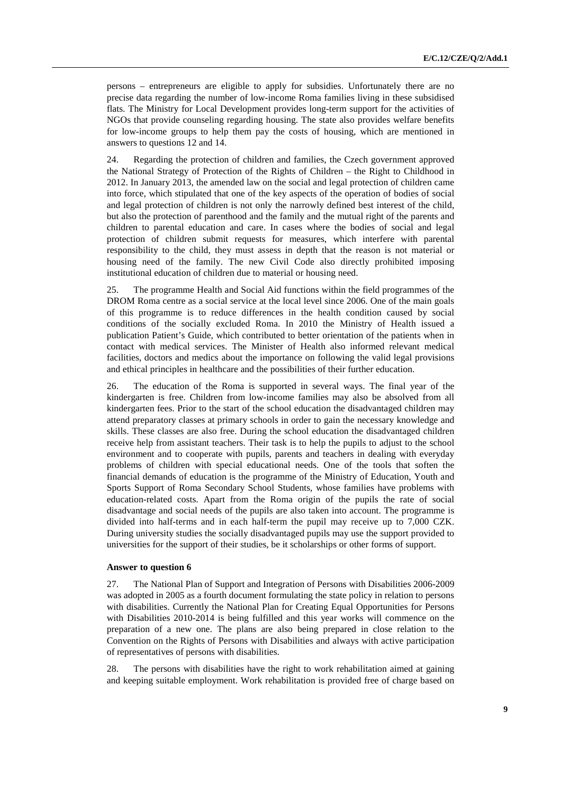persons – entrepreneurs are eligible to apply for subsidies. Unfortunately there are no precise data regarding the number of low-income Roma families living in these subsidised flats. The Ministry for Local Development provides long-term support for the activities of NGOs that provide counseling regarding housing. The state also provides welfare benefits for low-income groups to help them pay the costs of housing, which are mentioned in answers to questions 12 and 14.

24. Regarding the protection of children and families, the Czech government approved the National Strategy of Protection of the Rights of Children – the Right to Childhood in 2012. In January 2013, the amended law on the social and legal protection of children came into force, which stipulated that one of the key aspects of the operation of bodies of social and legal protection of children is not only the narrowly defined best interest of the child, but also the protection of parenthood and the family and the mutual right of the parents and children to parental education and care. In cases where the bodies of social and legal protection of children submit requests for measures, which interfere with parental responsibility to the child, they must assess in depth that the reason is not material or housing need of the family. The new Civil Code also directly prohibited imposing institutional education of children due to material or housing need.

25. The programme Health and Social Aid functions within the field programmes of the DROM Roma centre as a social service at the local level since 2006. One of the main goals of this programme is to reduce differences in the health condition caused by social conditions of the socially excluded Roma. In 2010 the Ministry of Health issued a publication Patient's Guide, which contributed to better orientation of the patients when in contact with medical services. The Minister of Health also informed relevant medical facilities, doctors and medics about the importance on following the valid legal provisions and ethical principles in healthcare and the possibilities of their further education.

26. The education of the Roma is supported in several ways. The final year of the kindergarten is free. Children from low-income families may also be absolved from all kindergarten fees. Prior to the start of the school education the disadvantaged children may attend preparatory classes at primary schools in order to gain the necessary knowledge and skills. These classes are also free. During the school education the disadvantaged children receive help from assistant teachers. Their task is to help the pupils to adjust to the school environment and to cooperate with pupils, parents and teachers in dealing with everyday problems of children with special educational needs. One of the tools that soften the financial demands of education is the programme of the Ministry of Education, Youth and Sports Support of Roma Secondary School Students, whose families have problems with education-related costs. Apart from the Roma origin of the pupils the rate of social disadvantage and social needs of the pupils are also taken into account. The programme is divided into half-terms and in each half-term the pupil may receive up to 7,000 CZK. During university studies the socially disadvantaged pupils may use the support provided to universities for the support of their studies, be it scholarships or other forms of support.

#### **Answer to question 6**

27. The National Plan of Support and Integration of Persons with Disabilities 2006-2009 was adopted in 2005 as a fourth document formulating the state policy in relation to persons with disabilities. Currently the National Plan for Creating Equal Opportunities for Persons with Disabilities 2010-2014 is being fulfilled and this year works will commence on the preparation of a new one. The plans are also being prepared in close relation to the Convention on the Rights of Persons with Disabilities and always with active participation of representatives of persons with disabilities.

28. The persons with disabilities have the right to work rehabilitation aimed at gaining and keeping suitable employment. Work rehabilitation is provided free of charge based on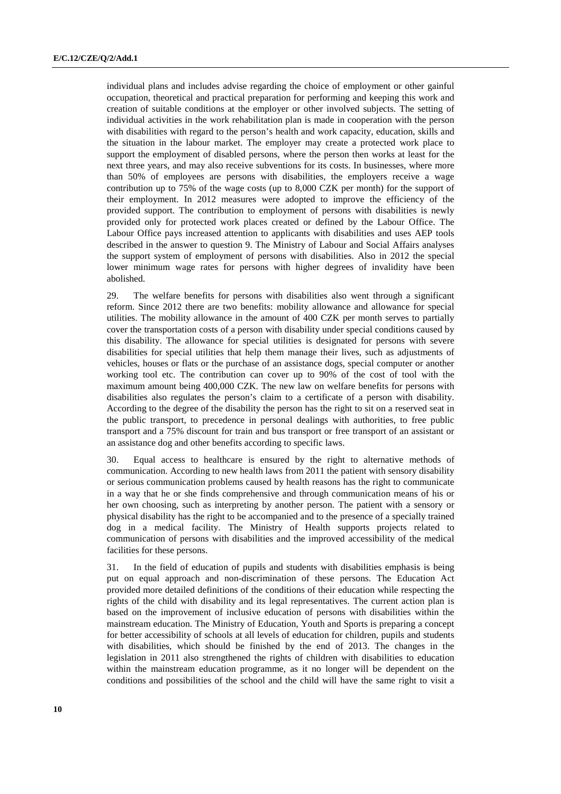individual plans and includes advise regarding the choice of employment or other gainful occupation, theoretical and practical preparation for performing and keeping this work and creation of suitable conditions at the employer or other involved subjects. The setting of individual activities in the work rehabilitation plan is made in cooperation with the person with disabilities with regard to the person's health and work capacity, education, skills and the situation in the labour market. The employer may create a protected work place to support the employment of disabled persons, where the person then works at least for the next three years, and may also receive subventions for its costs. In businesses, where more than 50% of employees are persons with disabilities, the employers receive a wage contribution up to 75% of the wage costs (up to 8,000 CZK per month) for the support of their employment. In 2012 measures were adopted to improve the efficiency of the provided support. The contribution to employment of persons with disabilities is newly provided only for protected work places created or defined by the Labour Office. The Labour Office pays increased attention to applicants with disabilities and uses AEP tools described in the answer to question 9. The Ministry of Labour and Social Affairs analyses the support system of employment of persons with disabilities. Also in 2012 the special lower minimum wage rates for persons with higher degrees of invalidity have been abolished.

29. The welfare benefits for persons with disabilities also went through a significant reform. Since 2012 there are two benefits: mobility allowance and allowance for special utilities. The mobility allowance in the amount of 400 CZK per month serves to partially cover the transportation costs of a person with disability under special conditions caused by this disability. The allowance for special utilities is designated for persons with severe disabilities for special utilities that help them manage their lives, such as adjustments of vehicles, houses or flats or the purchase of an assistance dogs, special computer or another working tool etc. The contribution can cover up to 90% of the cost of tool with the maximum amount being 400,000 CZK. The new law on welfare benefits for persons with disabilities also regulates the person's claim to a certificate of a person with disability. According to the degree of the disability the person has the right to sit on a reserved seat in the public transport, to precedence in personal dealings with authorities, to free public transport and a 75% discount for train and bus transport or free transport of an assistant or an assistance dog and other benefits according to specific laws.

30. Equal access to healthcare is ensured by the right to alternative methods of communication. According to new health laws from 2011 the patient with sensory disability or serious communication problems caused by health reasons has the right to communicate in a way that he or she finds comprehensive and through communication means of his or her own choosing, such as interpreting by another person. The patient with a sensory or physical disability has the right to be accompanied and to the presence of a specially trained dog in a medical facility. The Ministry of Health supports projects related to communication of persons with disabilities and the improved accessibility of the medical facilities for these persons.

31. In the field of education of pupils and students with disabilities emphasis is being put on equal approach and non-discrimination of these persons. The Education Act provided more detailed definitions of the conditions of their education while respecting the rights of the child with disability and its legal representatives. The current action plan is based on the improvement of inclusive education of persons with disabilities within the mainstream education. The Ministry of Education, Youth and Sports is preparing a concept for better accessibility of schools at all levels of education for children, pupils and students with disabilities, which should be finished by the end of 2013. The changes in the legislation in 2011 also strengthened the rights of children with disabilities to education within the mainstream education programme, as it no longer will be dependent on the conditions and possibilities of the school and the child will have the same right to visit a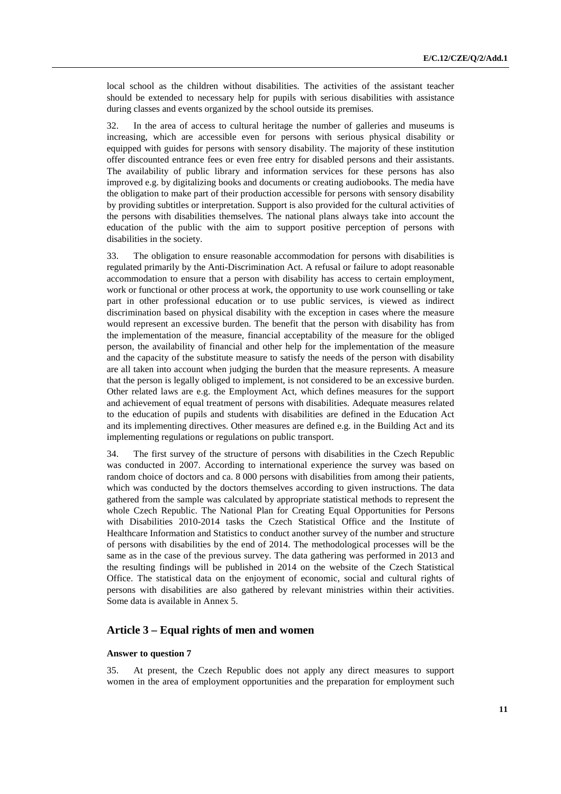local school as the children without disabilities. The activities of the assistant teacher should be extended to necessary help for pupils with serious disabilities with assistance during classes and events organized by the school outside its premises.

32. In the area of access to cultural heritage the number of galleries and museums is increasing, which are accessible even for persons with serious physical disability or equipped with guides for persons with sensory disability. The majority of these institution offer discounted entrance fees or even free entry for disabled persons and their assistants. The availability of public library and information services for these persons has also improved e.g. by digitalizing books and documents or creating audiobooks. The media have the obligation to make part of their production accessible for persons with sensory disability by providing subtitles or interpretation. Support is also provided for the cultural activities of the persons with disabilities themselves. The national plans always take into account the education of the public with the aim to support positive perception of persons with disabilities in the society.

33. The obligation to ensure reasonable accommodation for persons with disabilities is regulated primarily by the Anti-Discrimination Act. A refusal or failure to adopt reasonable accommodation to ensure that a person with disability has access to certain employment, work or functional or other process at work, the opportunity to use work counselling or take part in other professional education or to use public services, is viewed as indirect discrimination based on physical disability with the exception in cases where the measure would represent an excessive burden. The benefit that the person with disability has from the implementation of the measure, financial acceptability of the measure for the obliged person, the availability of financial and other help for the implementation of the measure and the capacity of the substitute measure to satisfy the needs of the person with disability are all taken into account when judging the burden that the measure represents. A measure that the person is legally obliged to implement, is not considered to be an excessive burden. Other related laws are e.g. the Employment Act, which defines measures for the support and achievement of equal treatment of persons with disabilities. Adequate measures related to the education of pupils and students with disabilities are defined in the Education Act and its implementing directives. Other measures are defined e.g. in the Building Act and its implementing regulations or regulations on public transport.

34. The first survey of the structure of persons with disabilities in the Czech Republic was conducted in 2007. According to international experience the survey was based on random choice of doctors and ca. 8 000 persons with disabilities from among their patients, which was conducted by the doctors themselves according to given instructions. The data gathered from the sample was calculated by appropriate statistical methods to represent the whole Czech Republic. The National Plan for Creating Equal Opportunities for Persons with Disabilities 2010-2014 tasks the Czech Statistical Office and the Institute of Healthcare Information and Statistics to conduct another survey of the number and structure of persons with disabilities by the end of 2014. The methodological processes will be the same as in the case of the previous survey. The data gathering was performed in 2013 and the resulting findings will be published in 2014 on the website of the Czech Statistical Office. The statistical data on the enjoyment of economic, social and cultural rights of persons with disabilities are also gathered by relevant ministries within their activities. Some data is available in Annex 5.

### **Article 3 – Equal rights of men and women**

#### **Answer to question 7**

35. At present, the Czech Republic does not apply any direct measures to support women in the area of employment opportunities and the preparation for employment such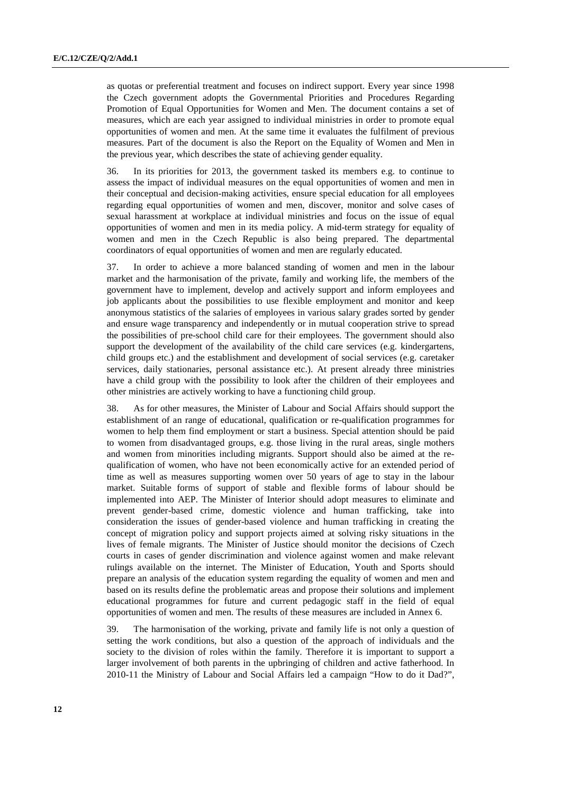as quotas or preferential treatment and focuses on indirect support. Every year since 1998 the Czech government adopts the Governmental Priorities and Procedures Regarding Promotion of Equal Opportunities for Women and Men. The document contains a set of measures, which are each year assigned to individual ministries in order to promote equal opportunities of women and men. At the same time it evaluates the fulfilment of previous measures. Part of the document is also the Report on the Equality of Women and Men in the previous year, which describes the state of achieving gender equality.

36. In its priorities for 2013, the government tasked its members e.g. to continue to assess the impact of individual measures on the equal opportunities of women and men in their conceptual and decision-making activities, ensure special education for all employees regarding equal opportunities of women and men, discover, monitor and solve cases of sexual harassment at workplace at individual ministries and focus on the issue of equal opportunities of women and men in its media policy. A mid-term strategy for equality of women and men in the Czech Republic is also being prepared. The departmental coordinators of equal opportunities of women and men are regularly educated.

37. In order to achieve a more balanced standing of women and men in the labour market and the harmonisation of the private, family and working life, the members of the government have to implement, develop and actively support and inform employees and job applicants about the possibilities to use flexible employment and monitor and keep anonymous statistics of the salaries of employees in various salary grades sorted by gender and ensure wage transparency and independently or in mutual cooperation strive to spread the possibilities of pre-school child care for their employees. The government should also support the development of the availability of the child care services (e.g. kindergartens, child groups etc.) and the establishment and development of social services (e.g. caretaker services, daily stationaries, personal assistance etc.). At present already three ministries have a child group with the possibility to look after the children of their employees and other ministries are actively working to have a functioning child group.

38. As for other measures, the Minister of Labour and Social Affairs should support the establishment of an range of educational, qualification or re-qualification programmes for women to help them find employment or start a business. Special attention should be paid to women from disadvantaged groups, e.g. those living in the rural areas, single mothers and women from minorities including migrants. Support should also be aimed at the requalification of women, who have not been economically active for an extended period of time as well as measures supporting women over 50 years of age to stay in the labour market. Suitable forms of support of stable and flexible forms of labour should be implemented into AEP. The Minister of Interior should adopt measures to eliminate and prevent gender-based crime, domestic violence and human trafficking, take into consideration the issues of gender-based violence and human trafficking in creating the concept of migration policy and support projects aimed at solving risky situations in the lives of female migrants. The Minister of Justice should monitor the decisions of Czech courts in cases of gender discrimination and violence against women and make relevant rulings available on the internet. The Minister of Education, Youth and Sports should prepare an analysis of the education system regarding the equality of women and men and based on its results define the problematic areas and propose their solutions and implement educational programmes for future and current pedagogic staff in the field of equal opportunities of women and men. The results of these measures are included in Annex 6.

39. The harmonisation of the working, private and family life is not only a question of setting the work conditions, but also a question of the approach of individuals and the society to the division of roles within the family. Therefore it is important to support a larger involvement of both parents in the upbringing of children and active fatherhood. In 2010-11 the Ministry of Labour and Social Affairs led a campaign "How to do it Dad?",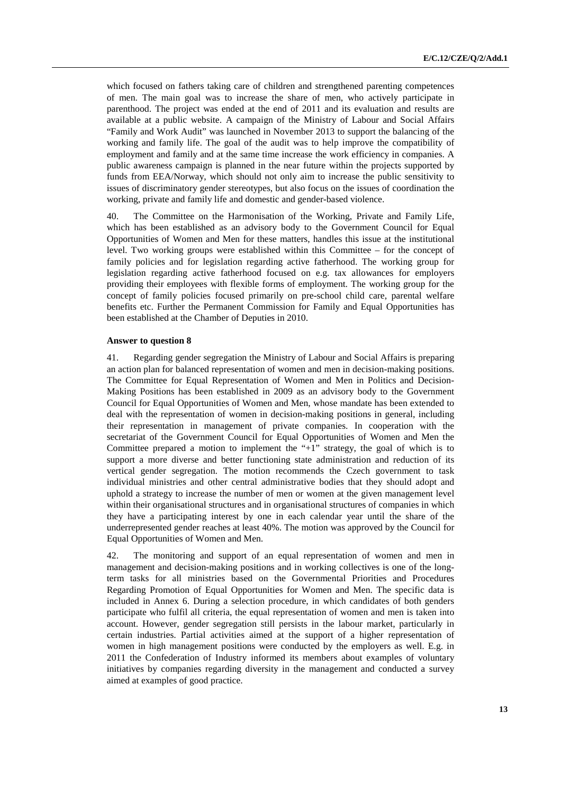which focused on fathers taking care of children and strengthened parenting competences of men. The main goal was to increase the share of men, who actively participate in parenthood. The project was ended at the end of 2011 and its evaluation and results are available at a public website. A campaign of the Ministry of Labour and Social Affairs "Family and Work Audit" was launched in November 2013 to support the balancing of the working and family life. The goal of the audit was to help improve the compatibility of employment and family and at the same time increase the work efficiency in companies. A public awareness campaign is planned in the near future within the projects supported by funds from EEA/Norway, which should not only aim to increase the public sensitivity to issues of discriminatory gender stereotypes, but also focus on the issues of coordination the working, private and family life and domestic and gender-based violence.

40. The Committee on the Harmonisation of the Working, Private and Family Life, which has been established as an advisory body to the Government Council for Equal Opportunities of Women and Men for these matters, handles this issue at the institutional level. Two working groups were established within this Committee – for the concept of family policies and for legislation regarding active fatherhood. The working group for legislation regarding active fatherhood focused on e.g. tax allowances for employers providing their employees with flexible forms of employment. The working group for the concept of family policies focused primarily on pre-school child care, parental welfare benefits etc. Further the Permanent Commission for Family and Equal Opportunities has been established at the Chamber of Deputies in 2010.

#### **Answer to question 8**

41. Regarding gender segregation the Ministry of Labour and Social Affairs is preparing an action plan for balanced representation of women and men in decision-making positions. The Committee for Equal Representation of Women and Men in Politics and Decision-Making Positions has been established in 2009 as an advisory body to the Government Council for Equal Opportunities of Women and Men, whose mandate has been extended to deal with the representation of women in decision-making positions in general, including their representation in management of private companies. In cooperation with the secretariat of the Government Council for Equal Opportunities of Women and Men the Committee prepared a motion to implement the "+1" strategy, the goal of which is to support a more diverse and better functioning state administration and reduction of its vertical gender segregation. The motion recommends the Czech government to task individual ministries and other central administrative bodies that they should adopt and uphold a strategy to increase the number of men or women at the given management level within their organisational structures and in organisational structures of companies in which they have a participating interest by one in each calendar year until the share of the underrepresented gender reaches at least 40%. The motion was approved by the Council for Equal Opportunities of Women and Men.

42. The monitoring and support of an equal representation of women and men in management and decision-making positions and in working collectives is one of the longterm tasks for all ministries based on the Governmental Priorities and Procedures Regarding Promotion of Equal Opportunities for Women and Men. The specific data is included in Annex 6. During a selection procedure, in which candidates of both genders participate who fulfil all criteria, the equal representation of women and men is taken into account. However, gender segregation still persists in the labour market, particularly in certain industries. Partial activities aimed at the support of a higher representation of women in high management positions were conducted by the employers as well. E.g. in 2011 the Confederation of Industry informed its members about examples of voluntary initiatives by companies regarding diversity in the management and conducted a survey aimed at examples of good practice.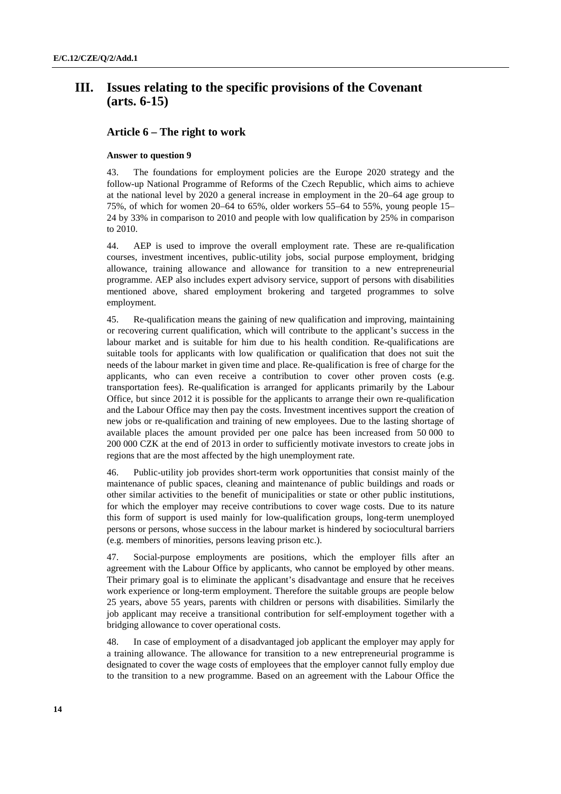## **III. Issues relating to the specific provisions of the Covenant (arts. 6-15)**

### **Article 6 – The right to work**

#### **Answer to question 9**

43. The foundations for employment policies are the Europe 2020 strategy and the follow-up National Programme of Reforms of the Czech Republic, which aims to achieve at the national level by 2020 a general increase in employment in the 20–64 age group to 75%, of which for women 20–64 to 65%, older workers 55–64 to 55%, young people 15– 24 by 33% in comparison to 2010 and people with low qualification by 25% in comparison to 2010.

44. AEP is used to improve the overall employment rate. These are re-qualification courses, investment incentives, public-utility jobs, social purpose employment, bridging allowance, training allowance and allowance for transition to a new entrepreneurial programme. AEP also includes expert advisory service, support of persons with disabilities mentioned above, shared employment brokering and targeted programmes to solve employment.

45. Re-qualification means the gaining of new qualification and improving, maintaining or recovering current qualification, which will contribute to the applicant's success in the labour market and is suitable for him due to his health condition. Re-qualifications are suitable tools for applicants with low qualification or qualification that does not suit the needs of the labour market in given time and place. Re-qualification is free of charge for the applicants, who can even receive a contribution to cover other proven costs (e.g. transportation fees). Re-qualification is arranged for applicants primarily by the Labour Office, but since 2012 it is possible for the applicants to arrange their own re-qualification and the Labour Office may then pay the costs. Investment incentives support the creation of new jobs or re-qualification and training of new employees. Due to the lasting shortage of available places the amount provided per one palce has been increased from 50 000 to 200 000 CZK at the end of 2013 in order to sufficiently motivate investors to create jobs in regions that are the most affected by the high unemployment rate.

46. Public-utility job provides short-term work opportunities that consist mainly of the maintenance of public spaces, cleaning and maintenance of public buildings and roads or other similar activities to the benefit of municipalities or state or other public institutions, for which the employer may receive contributions to cover wage costs. Due to its nature this form of support is used mainly for low-qualification groups, long-term unemployed persons or persons, whose success in the labour market is hindered by sociocultural barriers (e.g. members of minorities, persons leaving prison etc.).

47. Social-purpose employments are positions, which the employer fills after an agreement with the Labour Office by applicants, who cannot be employed by other means. Their primary goal is to eliminate the applicant's disadvantage and ensure that he receives work experience or long-term employment. Therefore the suitable groups are people below 25 years, above 55 years, parents with children or persons with disabilities. Similarly the job applicant may receive a transitional contribution for self-employment together with a bridging allowance to cover operational costs.

48. In case of employment of a disadvantaged job applicant the employer may apply for a training allowance. The allowance for transition to a new entrepreneurial programme is designated to cover the wage costs of employees that the employer cannot fully employ due to the transition to a new programme. Based on an agreement with the Labour Office the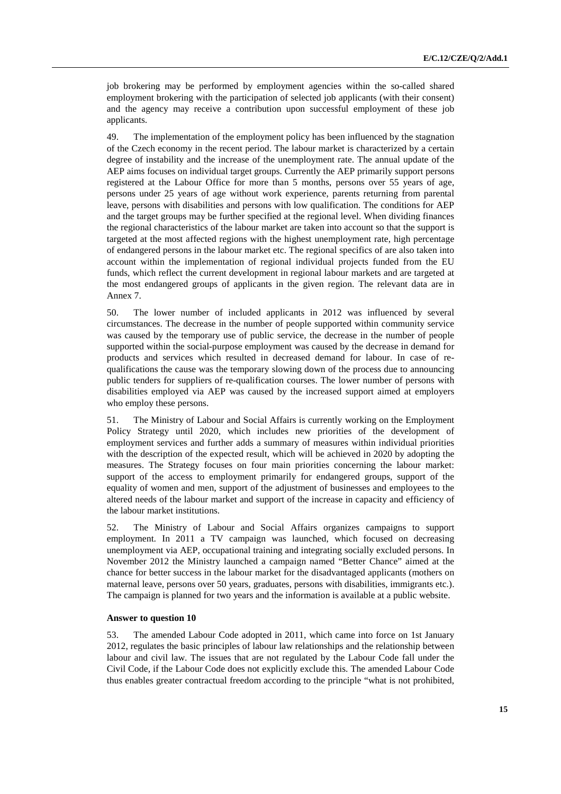job brokering may be performed by employment agencies within the so-called shared employment brokering with the participation of selected job applicants (with their consent) and the agency may receive a contribution upon successful employment of these job applicants.

49. The implementation of the employment policy has been influenced by the stagnation of the Czech economy in the recent period. The labour market is characterized by a certain degree of instability and the increase of the unemployment rate. The annual update of the AEP aims focuses on individual target groups. Currently the AEP primarily support persons registered at the Labour Office for more than 5 months, persons over 55 years of age, persons under 25 years of age without work experience, parents returning from parental leave, persons with disabilities and persons with low qualification. The conditions for AEP and the target groups may be further specified at the regional level. When dividing finances the regional characteristics of the labour market are taken into account so that the support is targeted at the most affected regions with the highest unemployment rate, high percentage of endangered persons in the labour market etc. The regional specifics of are also taken into account within the implementation of regional individual projects funded from the EU funds, which reflect the current development in regional labour markets and are targeted at the most endangered groups of applicants in the given region. The relevant data are in Annex 7.

50. The lower number of included applicants in 2012 was influenced by several circumstances. The decrease in the number of people supported within community service was caused by the temporary use of public service, the decrease in the number of people supported within the social-purpose employment was caused by the decrease in demand for products and services which resulted in decreased demand for labour. In case of requalifications the cause was the temporary slowing down of the process due to announcing public tenders for suppliers of re-qualification courses. The lower number of persons with disabilities employed via AEP was caused by the increased support aimed at employers who employ these persons.

51. The Ministry of Labour and Social Affairs is currently working on the Employment Policy Strategy until 2020, which includes new priorities of the development of employment services and further adds a summary of measures within individual priorities with the description of the expected result, which will be achieved in 2020 by adopting the measures. The Strategy focuses on four main priorities concerning the labour market: support of the access to employment primarily for endangered groups, support of the equality of women and men, support of the adjustment of businesses and employees to the altered needs of the labour market and support of the increase in capacity and efficiency of the labour market institutions.

52. The Ministry of Labour and Social Affairs organizes campaigns to support employment. In 2011 a TV campaign was launched, which focused on decreasing unemployment via AEP, occupational training and integrating socially excluded persons. In November 2012 the Ministry launched a campaign named "Better Chance" aimed at the chance for better success in the labour market for the disadvantaged applicants (mothers on maternal leave, persons over 50 years, graduates, persons with disabilities, immigrants etc.). The campaign is planned for two years and the information is available at a public website.

#### **Answer to question 10**

53. The amended Labour Code adopted in 2011, which came into force on 1st January 2012, regulates the basic principles of labour law relationships and the relationship between labour and civil law. The issues that are not regulated by the Labour Code fall under the Civil Code, if the Labour Code does not explicitly exclude this. The amended Labour Code thus enables greater contractual freedom according to the principle "what is not prohibited,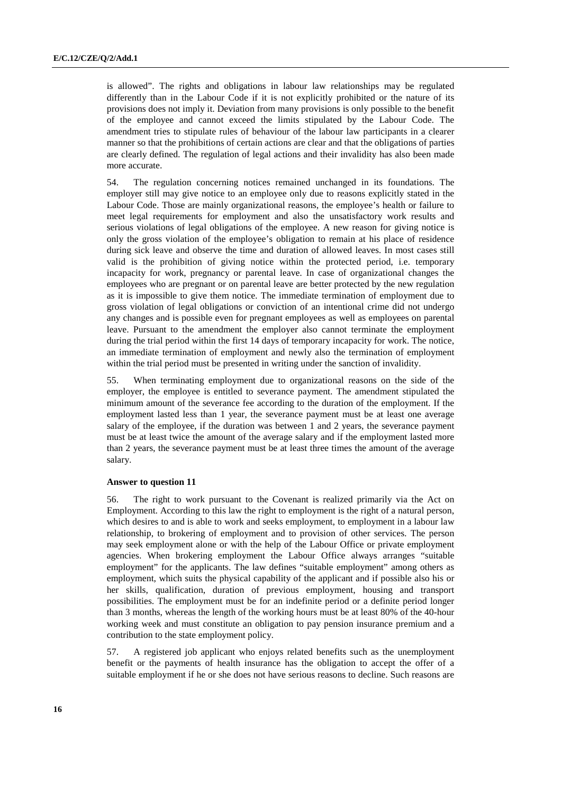is allowed". The rights and obligations in labour law relationships may be regulated differently than in the Labour Code if it is not explicitly prohibited or the nature of its provisions does not imply it. Deviation from many provisions is only possible to the benefit of the employee and cannot exceed the limits stipulated by the Labour Code. The amendment tries to stipulate rules of behaviour of the labour law participants in a clearer manner so that the prohibitions of certain actions are clear and that the obligations of parties are clearly defined. The regulation of legal actions and their invalidity has also been made more accurate.

54. The regulation concerning notices remained unchanged in its foundations. The employer still may give notice to an employee only due to reasons explicitly stated in the Labour Code. Those are mainly organizational reasons, the employee's health or failure to meet legal requirements for employment and also the unsatisfactory work results and serious violations of legal obligations of the employee. A new reason for giving notice is only the gross violation of the employee's obligation to remain at his place of residence during sick leave and observe the time and duration of allowed leaves. In most cases still valid is the prohibition of giving notice within the protected period, i.e. temporary incapacity for work, pregnancy or parental leave. In case of organizational changes the employees who are pregnant or on parental leave are better protected by the new regulation as it is impossible to give them notice. The immediate termination of employment due to gross violation of legal obligations or conviction of an intentional crime did not undergo any changes and is possible even for pregnant employees as well as employees on parental leave. Pursuant to the amendment the employer also cannot terminate the employment during the trial period within the first 14 days of temporary incapacity for work. The notice, an immediate termination of employment and newly also the termination of employment within the trial period must be presented in writing under the sanction of invalidity.

55. When terminating employment due to organizational reasons on the side of the employer, the employee is entitled to severance payment. The amendment stipulated the minimum amount of the severance fee according to the duration of the employment. If the employment lasted less than 1 year, the severance payment must be at least one average salary of the employee, if the duration was between 1 and 2 years, the severance payment must be at least twice the amount of the average salary and if the employment lasted more than 2 years, the severance payment must be at least three times the amount of the average salary.

#### **Answer to question 11**

56. The right to work pursuant to the Covenant is realized primarily via the Act on Employment. According to this law the right to employment is the right of a natural person, which desires to and is able to work and seeks employment, to employment in a labour law relationship, to brokering of employment and to provision of other services. The person may seek employment alone or with the help of the Labour Office or private employment agencies. When brokering employment the Labour Office always arranges "suitable employment" for the applicants. The law defines "suitable employment" among others as employment, which suits the physical capability of the applicant and if possible also his or her skills, qualification, duration of previous employment, housing and transport possibilities. The employment must be for an indefinite period or a definite period longer than 3 months, whereas the length of the working hours must be at least 80% of the 40-hour working week and must constitute an obligation to pay pension insurance premium and a contribution to the state employment policy.

57. A registered job applicant who enjoys related benefits such as the unemployment benefit or the payments of health insurance has the obligation to accept the offer of a suitable employment if he or she does not have serious reasons to decline. Such reasons are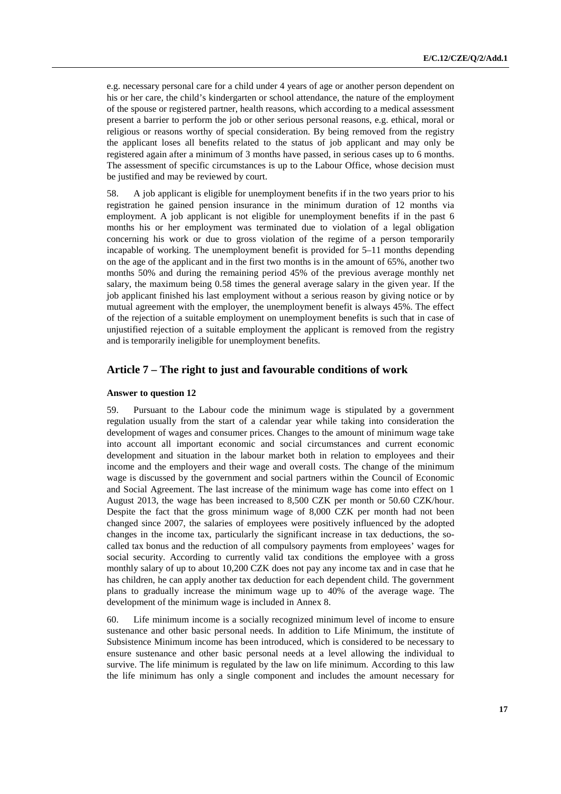e.g. necessary personal care for a child under 4 years of age or another person dependent on his or her care, the child's kindergarten or school attendance, the nature of the employment of the spouse or registered partner, health reasons, which according to a medical assessment present a barrier to perform the job or other serious personal reasons, e.g. ethical, moral or religious or reasons worthy of special consideration. By being removed from the registry the applicant loses all benefits related to the status of job applicant and may only be registered again after a minimum of 3 months have passed, in serious cases up to 6 months. The assessment of specific circumstances is up to the Labour Office, whose decision must be justified and may be reviewed by court.

58. A job applicant is eligible for unemployment benefits if in the two years prior to his registration he gained pension insurance in the minimum duration of 12 months via employment. A job applicant is not eligible for unemployment benefits if in the past 6 months his or her employment was terminated due to violation of a legal obligation concerning his work or due to gross violation of the regime of a person temporarily incapable of working. The unemployment benefit is provided for 5–11 months depending on the age of the applicant and in the first two months is in the amount of 65%, another two months 50% and during the remaining period 45% of the previous average monthly net salary, the maximum being 0.58 times the general average salary in the given year. If the job applicant finished his last employment without a serious reason by giving notice or by mutual agreement with the employer, the unemployment benefit is always 45%. The effect of the rejection of a suitable employment on unemployment benefits is such that in case of unjustified rejection of a suitable employment the applicant is removed from the registry and is temporarily ineligible for unemployment benefits.

#### **Article 7 – The right to just and favourable conditions of work**

#### **Answer to question 12**

59. Pursuant to the Labour code the minimum wage is stipulated by a government regulation usually from the start of a calendar year while taking into consideration the development of wages and consumer prices. Changes to the amount of minimum wage take into account all important economic and social circumstances and current economic development and situation in the labour market both in relation to employees and their income and the employers and their wage and overall costs. The change of the minimum wage is discussed by the government and social partners within the Council of Economic and Social Agreement. The last increase of the minimum wage has come into effect on 1 August 2013, the wage has been increased to 8,500 CZK per month or 50.60 CZK/hour. Despite the fact that the gross minimum wage of 8,000 CZK per month had not been changed since 2007, the salaries of employees were positively influenced by the adopted changes in the income tax, particularly the significant increase in tax deductions, the socalled tax bonus and the reduction of all compulsory payments from employees' wages for social security. According to currently valid tax conditions the employee with a gross monthly salary of up to about 10,200 CZK does not pay any income tax and in case that he has children, he can apply another tax deduction for each dependent child. The government plans to gradually increase the minimum wage up to 40% of the average wage. The development of the minimum wage is included in Annex 8.

60. Life minimum income is a socially recognized minimum level of income to ensure sustenance and other basic personal needs. In addition to Life Minimum, the institute of Subsistence Minimum income has been introduced, which is considered to be necessary to ensure sustenance and other basic personal needs at a level allowing the individual to survive. The life minimum is regulated by the law on life minimum. According to this law the life minimum has only a single component and includes the amount necessary for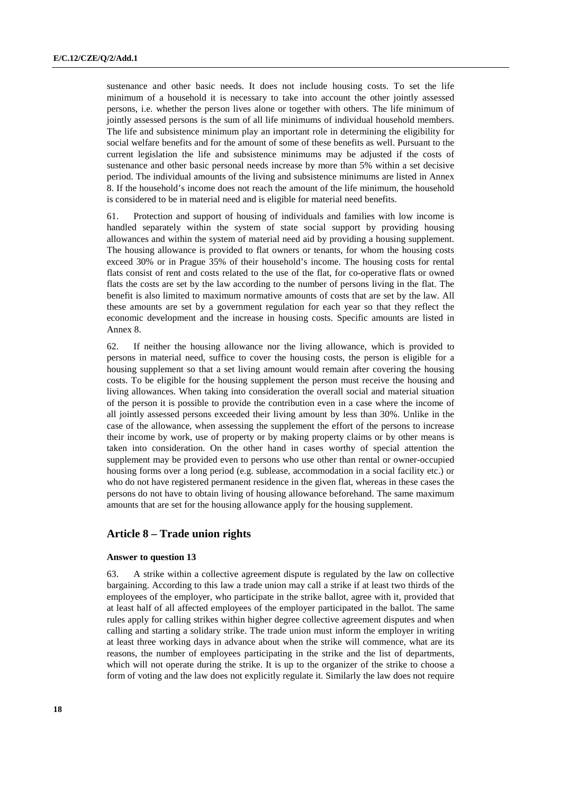sustenance and other basic needs. It does not include housing costs. To set the life minimum of a household it is necessary to take into account the other jointly assessed persons, i.e. whether the person lives alone or together with others. The life minimum of jointly assessed persons is the sum of all life minimums of individual household members. The life and subsistence minimum play an important role in determining the eligibility for social welfare benefits and for the amount of some of these benefits as well. Pursuant to the current legislation the life and subsistence minimums may be adjusted if the costs of sustenance and other basic personal needs increase by more than 5% within a set decisive period. The individual amounts of the living and subsistence minimums are listed in Annex 8. If the household's income does not reach the amount of the life minimum, the household is considered to be in material need and is eligible for material need benefits.

61. Protection and support of housing of individuals and families with low income is handled separately within the system of state social support by providing housing allowances and within the system of material need aid by providing a housing supplement. The housing allowance is provided to flat owners or tenants, for whom the housing costs exceed 30% or in Prague 35% of their household's income. The housing costs for rental flats consist of rent and costs related to the use of the flat, for co-operative flats or owned flats the costs are set by the law according to the number of persons living in the flat. The benefit is also limited to maximum normative amounts of costs that are set by the law. All these amounts are set by a government regulation for each year so that they reflect the economic development and the increase in housing costs. Specific amounts are listed in Annex 8.

62. If neither the housing allowance nor the living allowance, which is provided to persons in material need, suffice to cover the housing costs, the person is eligible for a housing supplement so that a set living amount would remain after covering the housing costs. To be eligible for the housing supplement the person must receive the housing and living allowances. When taking into consideration the overall social and material situation of the person it is possible to provide the contribution even in a case where the income of all jointly assessed persons exceeded their living amount by less than 30%. Unlike in the case of the allowance, when assessing the supplement the effort of the persons to increase their income by work, use of property or by making property claims or by other means is taken into consideration. On the other hand in cases worthy of special attention the supplement may be provided even to persons who use other than rental or owner-occupied housing forms over a long period (e.g. sublease, accommodation in a social facility etc.) or who do not have registered permanent residence in the given flat, whereas in these cases the persons do not have to obtain living of housing allowance beforehand. The same maximum amounts that are set for the housing allowance apply for the housing supplement.

## **Article 8 – Trade union rights**

#### **Answer to question 13**

63. A strike within a collective agreement dispute is regulated by the law on collective bargaining. According to this law a trade union may call a strike if at least two thirds of the employees of the employer, who participate in the strike ballot, agree with it, provided that at least half of all affected employees of the employer participated in the ballot. The same rules apply for calling strikes within higher degree collective agreement disputes and when calling and starting a solidary strike. The trade union must inform the employer in writing at least three working days in advance about when the strike will commence, what are its reasons, the number of employees participating in the strike and the list of departments, which will not operate during the strike. It is up to the organizer of the strike to choose a form of voting and the law does not explicitly regulate it. Similarly the law does not require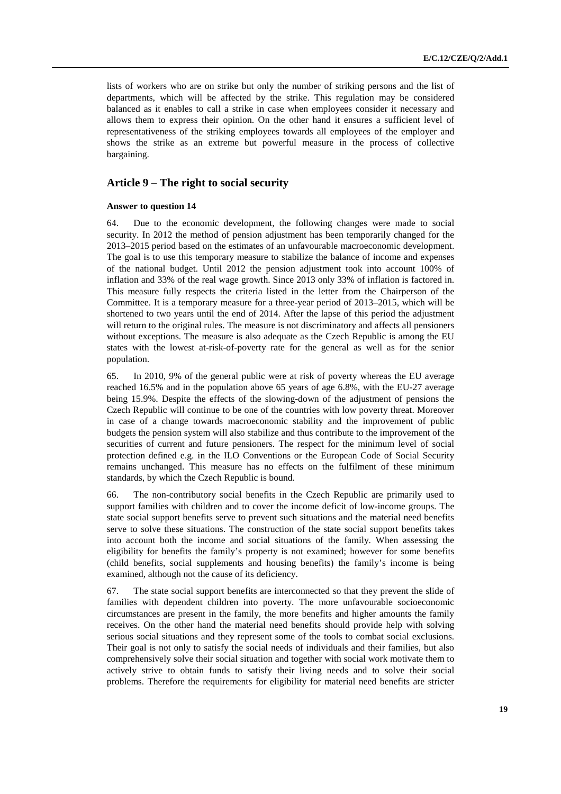lists of workers who are on strike but only the number of striking persons and the list of departments, which will be affected by the strike. This regulation may be considered balanced as it enables to call a strike in case when employees consider it necessary and allows them to express their opinion. On the other hand it ensures a sufficient level of representativeness of the striking employees towards all employees of the employer and shows the strike as an extreme but powerful measure in the process of collective bargaining.

## **Article 9 – The right to social security**

#### **Answer to question 14**

64. Due to the economic development, the following changes were made to social security. In 2012 the method of pension adjustment has been temporarily changed for the 2013–2015 period based on the estimates of an unfavourable macroeconomic development. The goal is to use this temporary measure to stabilize the balance of income and expenses of the national budget. Until 2012 the pension adjustment took into account 100% of inflation and 33% of the real wage growth. Since 2013 only 33% of inflation is factored in. This measure fully respects the criteria listed in the letter from the Chairperson of the Committee. It is a temporary measure for a three-year period of 2013–2015, which will be shortened to two years until the end of 2014. After the lapse of this period the adjustment will return to the original rules. The measure is not discriminatory and affects all pensioners without exceptions. The measure is also adequate as the Czech Republic is among the EU states with the lowest at-risk-of-poverty rate for the general as well as for the senior population.

65. In 2010, 9% of the general public were at risk of poverty whereas the EU average reached 16.5% and in the population above 65 years of age 6.8%, with the EU-27 average being 15.9%. Despite the effects of the slowing-down of the adjustment of pensions the Czech Republic will continue to be one of the countries with low poverty threat. Moreover in case of a change towards macroeconomic stability and the improvement of public budgets the pension system will also stabilize and thus contribute to the improvement of the securities of current and future pensioners. The respect for the minimum level of social protection defined e.g. in the ILO Conventions or the European Code of Social Security remains unchanged. This measure has no effects on the fulfilment of these minimum standards, by which the Czech Republic is bound.

66. The non-contributory social benefits in the Czech Republic are primarily used to support families with children and to cover the income deficit of low-income groups. The state social support benefits serve to prevent such situations and the material need benefits serve to solve these situations. The construction of the state social support benefits takes into account both the income and social situations of the family. When assessing the eligibility for benefits the family's property is not examined; however for some benefits (child benefits, social supplements and housing benefits) the family's income is being examined, although not the cause of its deficiency.

67. The state social support benefits are interconnected so that they prevent the slide of families with dependent children into poverty. The more unfavourable socioeconomic circumstances are present in the family, the more benefits and higher amounts the family receives. On the other hand the material need benefits should provide help with solving serious social situations and they represent some of the tools to combat social exclusions. Their goal is not only to satisfy the social needs of individuals and their families, but also comprehensively solve their social situation and together with social work motivate them to actively strive to obtain funds to satisfy their living needs and to solve their social problems. Therefore the requirements for eligibility for material need benefits are stricter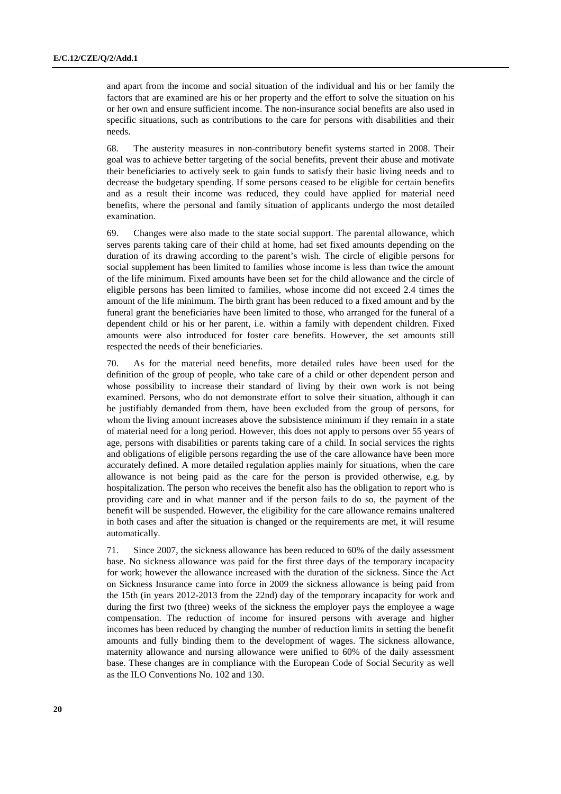and apart from the income and social situation of the individual and his or her family the factors that are examined are his or her property and the effort to solve the situation on his or her own and ensure sufficient income. The non-insurance social benefits are also used in specific situations, such as contributions to the care for persons with disabilities and their needs.

68. The austerity measures in non-contributory benefit systems started in 2008. Their goal was to achieve better targeting of the social benefits, prevent their abuse and motivate their beneficiaries to actively seek to gain funds to satisfy their basic living needs and to decrease the budgetary spending. If some persons ceased to be eligible for certain benefits and as a result their income was reduced, they could have applied for material need benefits, where the personal and family situation of applicants undergo the most detailed examination.

69. Changes were also made to the state social support. The parental allowance, which serves parents taking care of their child at home, had set fixed amounts depending on the duration of its drawing according to the parent's wish. The circle of eligible persons for social supplement has been limited to families whose income is less than twice the amount of the life minimum. Fixed amounts have been set for the child allowance and the circle of eligible persons has been limited to families, whose income did not exceed 2.4 times the amount of the life minimum. The birth grant has been reduced to a fixed amount and by the funeral grant the beneficiaries have been limited to those, who arranged for the funeral of a dependent child or his or her parent, i.e. within a family with dependent children. Fixed amounts were also introduced for foster care benefits. However, the set amounts still respected the needs of their beneficiaries.

70. As for the material need benefits, more detailed rules have been used for the definition of the group of people, who take care of a child or other dependent person and whose possibility to increase their standard of living by their own work is not being examined. Persons, who do not demonstrate effort to solve their situation, although it can be justifiably demanded from them, have been excluded from the group of persons, for whom the living amount increases above the subsistence minimum if they remain in a state of material need for a long period. However, this does not apply to persons over 55 years of age, persons with disabilities or parents taking care of a child. In social services the rights and obligations of eligible persons regarding the use of the care allowance have been more accurately defined. A more detailed regulation applies mainly for situations, when the care allowance is not being paid as the care for the person is provided otherwise, e.g. by hospitalization. The person who receives the benefit also has the obligation to report who is providing care and in what manner and if the person fails to do so, the payment of the benefit will be suspended. However, the eligibility for the care allowance remains unaltered in both cases and after the situation is changed or the requirements are met, it will resume automatically.

71. Since 2007, the sickness allowance has been reduced to 60% of the daily assessment base. No sickness allowance was paid for the first three days of the temporary incapacity for work; however the allowance increased with the duration of the sickness. Since the Act on Sickness Insurance came into force in 2009 the sickness allowance is being paid from the 15th (in years 2012-2013 from the 22nd) day of the temporary incapacity for work and during the first two (three) weeks of the sickness the employer pays the employee a wage compensation. The reduction of income for insured persons with average and higher incomes has been reduced by changing the number of reduction limits in setting the benefit amounts and fully binding them to the development of wages. The sickness allowance, maternity allowance and nursing allowance were unified to 60% of the daily assessment base. These changes are in compliance with the European Code of Social Security as well as the ILO Conventions No. 102 and 130.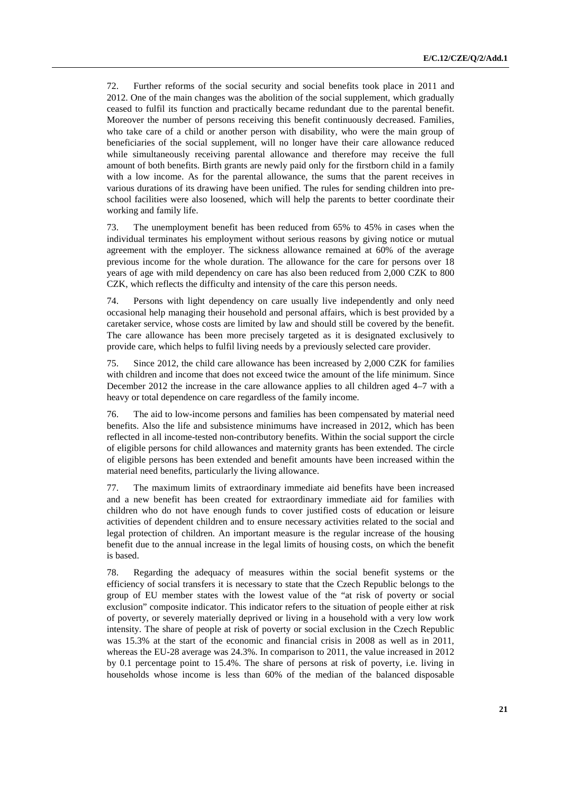72. Further reforms of the social security and social benefits took place in 2011 and 2012. One of the main changes was the abolition of the social supplement, which gradually ceased to fulfil its function and practically became redundant due to the parental benefit. Moreover the number of persons receiving this benefit continuously decreased. Families, who take care of a child or another person with disability, who were the main group of beneficiaries of the social supplement, will no longer have their care allowance reduced while simultaneously receiving parental allowance and therefore may receive the full amount of both benefits. Birth grants are newly paid only for the firstborn child in a family with a low income. As for the parental allowance, the sums that the parent receives in various durations of its drawing have been unified. The rules for sending children into preschool facilities were also loosened, which will help the parents to better coordinate their working and family life.

73. The unemployment benefit has been reduced from 65% to 45% in cases when the individual terminates his employment without serious reasons by giving notice or mutual agreement with the employer. The sickness allowance remained at 60% of the average previous income for the whole duration. The allowance for the care for persons over 18 years of age with mild dependency on care has also been reduced from 2,000 CZK to 800 CZK, which reflects the difficulty and intensity of the care this person needs.

74. Persons with light dependency on care usually live independently and only need occasional help managing their household and personal affairs, which is best provided by a caretaker service, whose costs are limited by law and should still be covered by the benefit. The care allowance has been more precisely targeted as it is designated exclusively to provide care, which helps to fulfil living needs by a previously selected care provider.

75. Since 2012, the child care allowance has been increased by 2,000 CZK for families with children and income that does not exceed twice the amount of the life minimum. Since December 2012 the increase in the care allowance applies to all children aged 4–7 with a heavy or total dependence on care regardless of the family income.

76. The aid to low-income persons and families has been compensated by material need benefits. Also the life and subsistence minimums have increased in 2012, which has been reflected in all income-tested non-contributory benefits. Within the social support the circle of eligible persons for child allowances and maternity grants has been extended. The circle of eligible persons has been extended and benefit amounts have been increased within the material need benefits, particularly the living allowance.

77. The maximum limits of extraordinary immediate aid benefits have been increased and a new benefit has been created for extraordinary immediate aid for families with children who do not have enough funds to cover justified costs of education or leisure activities of dependent children and to ensure necessary activities related to the social and legal protection of children. An important measure is the regular increase of the housing benefit due to the annual increase in the legal limits of housing costs, on which the benefit is based.

78. Regarding the adequacy of measures within the social benefit systems or the efficiency of social transfers it is necessary to state that the Czech Republic belongs to the group of EU member states with the lowest value of the "at risk of poverty or social exclusion" composite indicator. This indicator refers to the situation of people either at risk of poverty, or severely materially deprived or living in a household with a very low work intensity. The share of people at risk of poverty or social exclusion in the Czech Republic was 15.3% at the start of the economic and financial crisis in 2008 as well as in 2011, whereas the EU-28 average was 24.3%. In comparison to 2011, the value increased in 2012 by 0.1 percentage point to 15.4%. The share of persons at risk of poverty, i.e. living in households whose income is less than 60% of the median of the balanced disposable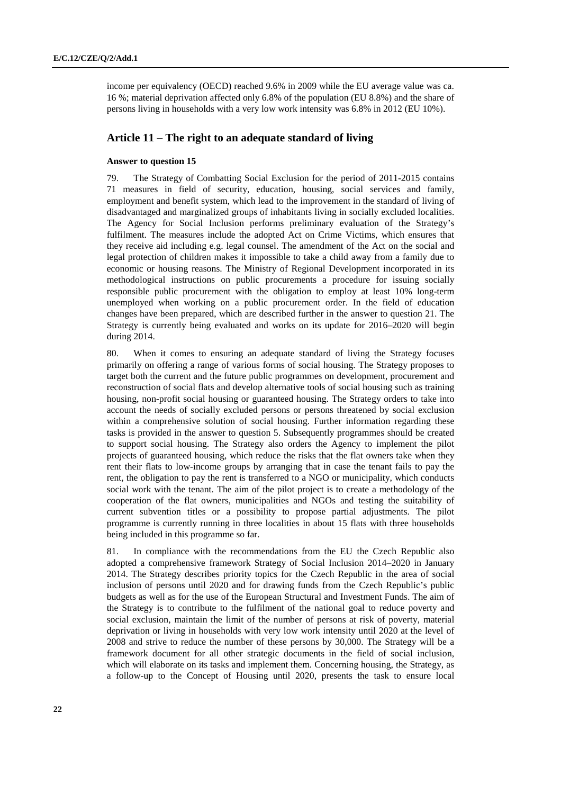income per equivalency (OECD) reached 9.6% in 2009 while the EU average value was ca. 16 %; material deprivation affected only 6.8% of the population (EU 8.8%) and the share of persons living in households with a very low work intensity was 6.8% in 2012 (EU 10%).

### **Article 11 – The right to an adequate standard of living**

#### **Answer to question 15**

79. The Strategy of Combatting Social Exclusion for the period of 2011-2015 contains 71 measures in field of security, education, housing, social services and family, employment and benefit system, which lead to the improvement in the standard of living of disadvantaged and marginalized groups of inhabitants living in socially excluded localities. The Agency for Social Inclusion performs preliminary evaluation of the Strategy's fulfilment. The measures include the adopted Act on Crime Victims, which ensures that they receive aid including e.g. legal counsel. The amendment of the Act on the social and legal protection of children makes it impossible to take a child away from a family due to economic or housing reasons. The Ministry of Regional Development incorporated in its methodological instructions on public procurements a procedure for issuing socially responsible public procurement with the obligation to employ at least 10% long-term unemployed when working on a public procurement order. In the field of education changes have been prepared, which are described further in the answer to question 21. The Strategy is currently being evaluated and works on its update for 2016–2020 will begin during 2014.

80. When it comes to ensuring an adequate standard of living the Strategy focuses primarily on offering a range of various forms of social housing. The Strategy proposes to target both the current and the future public programmes on development, procurement and reconstruction of social flats and develop alternative tools of social housing such as training housing, non-profit social housing or guaranteed housing. The Strategy orders to take into account the needs of socially excluded persons or persons threatened by social exclusion within a comprehensive solution of social housing. Further information regarding these tasks is provided in the answer to question 5. Subsequently programmes should be created to support social housing. The Strategy also orders the Agency to implement the pilot projects of guaranteed housing, which reduce the risks that the flat owners take when they rent their flats to low-income groups by arranging that in case the tenant fails to pay the rent, the obligation to pay the rent is transferred to a NGO or municipality, which conducts social work with the tenant. The aim of the pilot project is to create a methodology of the cooperation of the flat owners, municipalities and NGOs and testing the suitability of current subvention titles or a possibility to propose partial adjustments. The pilot programme is currently running in three localities in about 15 flats with three households being included in this programme so far.

81. In compliance with the recommendations from the EU the Czech Republic also adopted a comprehensive framework Strategy of Social Inclusion 2014–2020 in January 2014. The Strategy describes priority topics for the Czech Republic in the area of social inclusion of persons until 2020 and for drawing funds from the Czech Republic's public budgets as well as for the use of the European Structural and Investment Funds. The aim of the Strategy is to contribute to the fulfilment of the national goal to reduce poverty and social exclusion, maintain the limit of the number of persons at risk of poverty, material deprivation or living in households with very low work intensity until 2020 at the level of 2008 and strive to reduce the number of these persons by 30,000. The Strategy will be a framework document for all other strategic documents in the field of social inclusion, which will elaborate on its tasks and implement them. Concerning housing, the Strategy, as a follow-up to the Concept of Housing until 2020, presents the task to ensure local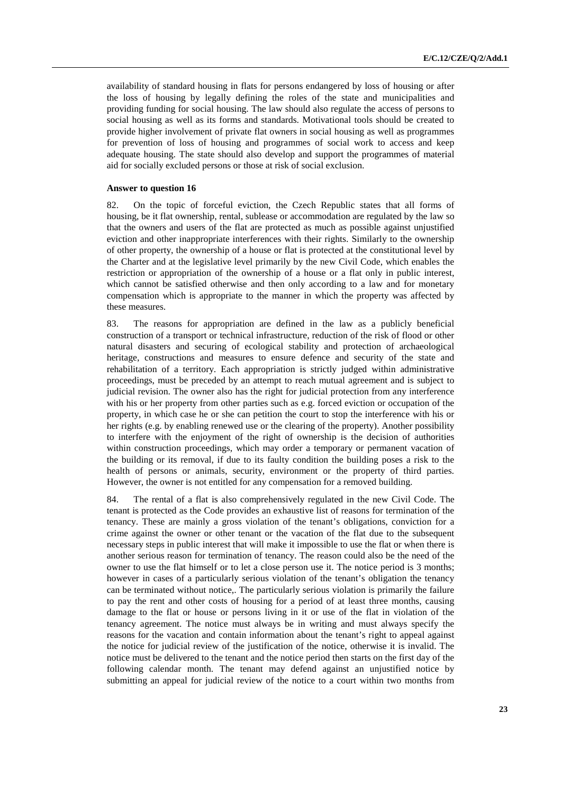availability of standard housing in flats for persons endangered by loss of housing or after the loss of housing by legally defining the roles of the state and municipalities and providing funding for social housing. The law should also regulate the access of persons to social housing as well as its forms and standards. Motivational tools should be created to provide higher involvement of private flat owners in social housing as well as programmes for prevention of loss of housing and programmes of social work to access and keep adequate housing. The state should also develop and support the programmes of material aid for socially excluded persons or those at risk of social exclusion.

#### **Answer to question 16**

82. On the topic of forceful eviction, the Czech Republic states that all forms of housing, be it flat ownership, rental, sublease or accommodation are regulated by the law so that the owners and users of the flat are protected as much as possible against unjustified eviction and other inappropriate interferences with their rights. Similarly to the ownership of other property, the ownership of a house or flat is protected at the constitutional level by the Charter and at the legislative level primarily by the new Civil Code, which enables the restriction or appropriation of the ownership of a house or a flat only in public interest, which cannot be satisfied otherwise and then only according to a law and for monetary compensation which is appropriate to the manner in which the property was affected by these measures.

83. The reasons for appropriation are defined in the law as a publicly beneficial construction of a transport or technical infrastructure, reduction of the risk of flood or other natural disasters and securing of ecological stability and protection of archaeological heritage, constructions and measures to ensure defence and security of the state and rehabilitation of a territory. Each appropriation is strictly judged within administrative proceedings, must be preceded by an attempt to reach mutual agreement and is subject to judicial revision. The owner also has the right for judicial protection from any interference with his or her property from other parties such as e.g. forced eviction or occupation of the property, in which case he or she can petition the court to stop the interference with his or her rights (e.g. by enabling renewed use or the clearing of the property). Another possibility to interfere with the enjoyment of the right of ownership is the decision of authorities within construction proceedings, which may order a temporary or permanent vacation of the building or its removal, if due to its faulty condition the building poses a risk to the health of persons or animals, security, environment or the property of third parties. However, the owner is not entitled for any compensation for a removed building.

84. The rental of a flat is also comprehensively regulated in the new Civil Code. The tenant is protected as the Code provides an exhaustive list of reasons for termination of the tenancy. These are mainly a gross violation of the tenant's obligations, conviction for a crime against the owner or other tenant or the vacation of the flat due to the subsequent necessary steps in public interest that will make it impossible to use the flat or when there is another serious reason for termination of tenancy. The reason could also be the need of the owner to use the flat himself or to let a close person use it. The notice period is 3 months; however in cases of a particularly serious violation of the tenant's obligation the tenancy can be terminated without notice,. The particularly serious violation is primarily the failure to pay the rent and other costs of housing for a period of at least three months, causing damage to the flat or house or persons living in it or use of the flat in violation of the tenancy agreement. The notice must always be in writing and must always specify the reasons for the vacation and contain information about the tenant's right to appeal against the notice for judicial review of the justification of the notice, otherwise it is invalid. The notice must be delivered to the tenant and the notice period then starts on the first day of the following calendar month. The tenant may defend against an unjustified notice by submitting an appeal for judicial review of the notice to a court within two months from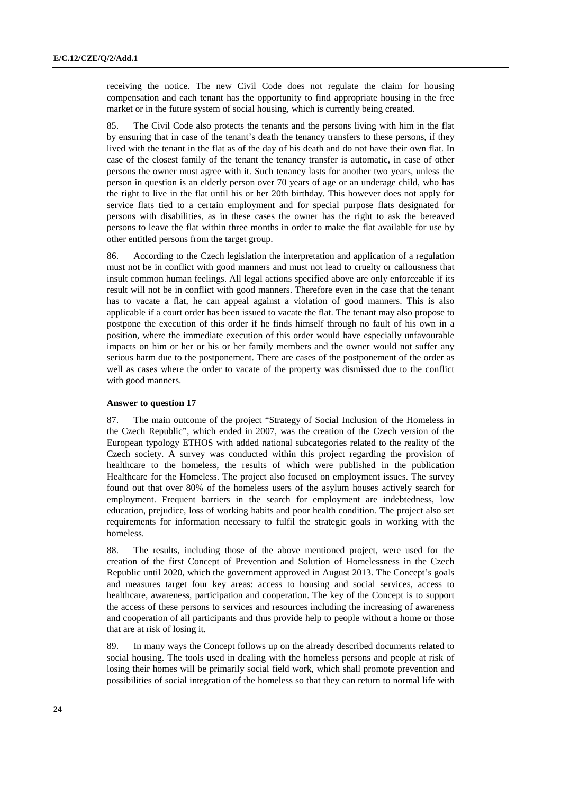receiving the notice. The new Civil Code does not regulate the claim for housing compensation and each tenant has the opportunity to find appropriate housing in the free market or in the future system of social housing, which is currently being created.

85. The Civil Code also protects the tenants and the persons living with him in the flat by ensuring that in case of the tenant's death the tenancy transfers to these persons, if they lived with the tenant in the flat as of the day of his death and do not have their own flat. In case of the closest family of the tenant the tenancy transfer is automatic, in case of other persons the owner must agree with it. Such tenancy lasts for another two years, unless the person in question is an elderly person over 70 years of age or an underage child, who has the right to live in the flat until his or her 20th birthday. This however does not apply for service flats tied to a certain employment and for special purpose flats designated for persons with disabilities, as in these cases the owner has the right to ask the bereaved persons to leave the flat within three months in order to make the flat available for use by other entitled persons from the target group.

86. According to the Czech legislation the interpretation and application of a regulation must not be in conflict with good manners and must not lead to cruelty or callousness that insult common human feelings. All legal actions specified above are only enforceable if its result will not be in conflict with good manners. Therefore even in the case that the tenant has to vacate a flat, he can appeal against a violation of good manners. This is also applicable if a court order has been issued to vacate the flat. The tenant may also propose to postpone the execution of this order if he finds himself through no fault of his own in a position, where the immediate execution of this order would have especially unfavourable impacts on him or her or his or her family members and the owner would not suffer any serious harm due to the postponement. There are cases of the postponement of the order as well as cases where the order to vacate of the property was dismissed due to the conflict with good manners.

#### **Answer to question 17**

87. The main outcome of the project "Strategy of Social Inclusion of the Homeless in the Czech Republic", which ended in 2007, was the creation of the Czech version of the European typology ETHOS with added national subcategories related to the reality of the Czech society. A survey was conducted within this project regarding the provision of healthcare to the homeless, the results of which were published in the publication Healthcare for the Homeless. The project also focused on employment issues. The survey found out that over 80% of the homeless users of the asylum houses actively search for employment. Frequent barriers in the search for employment are indebtedness, low education, prejudice, loss of working habits and poor health condition. The project also set requirements for information necessary to fulfil the strategic goals in working with the homeless.

88. The results, including those of the above mentioned project, were used for the creation of the first Concept of Prevention and Solution of Homelessness in the Czech Republic until 2020, which the government approved in August 2013. The Concept's goals and measures target four key areas: access to housing and social services, access to healthcare, awareness, participation and cooperation. The key of the Concept is to support the access of these persons to services and resources including the increasing of awareness and cooperation of all participants and thus provide help to people without a home or those that are at risk of losing it.

89. In many ways the Concept follows up on the already described documents related to social housing. The tools used in dealing with the homeless persons and people at risk of losing their homes will be primarily social field work, which shall promote prevention and possibilities of social integration of the homeless so that they can return to normal life with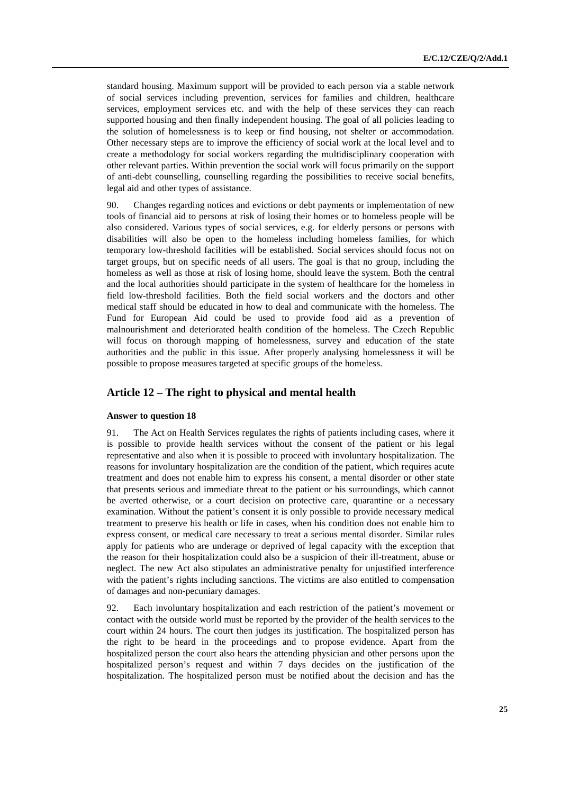standard housing. Maximum support will be provided to each person via a stable network of social services including prevention, services for families and children, healthcare services, employment services etc. and with the help of these services they can reach supported housing and then finally independent housing. The goal of all policies leading to the solution of homelessness is to keep or find housing, not shelter or accommodation. Other necessary steps are to improve the efficiency of social work at the local level and to create a methodology for social workers regarding the multidisciplinary cooperation with other relevant parties. Within prevention the social work will focus primarily on the support of anti-debt counselling, counselling regarding the possibilities to receive social benefits, legal aid and other types of assistance.

90. Changes regarding notices and evictions or debt payments or implementation of new tools of financial aid to persons at risk of losing their homes or to homeless people will be also considered. Various types of social services, e.g. for elderly persons or persons with disabilities will also be open to the homeless including homeless families, for which temporary low-threshold facilities will be established. Social services should focus not on target groups, but on specific needs of all users. The goal is that no group, including the homeless as well as those at risk of losing home, should leave the system. Both the central and the local authorities should participate in the system of healthcare for the homeless in field low-threshold facilities. Both the field social workers and the doctors and other medical staff should be educated in how to deal and communicate with the homeless. The Fund for European Aid could be used to provide food aid as a prevention of malnourishment and deteriorated health condition of the homeless. The Czech Republic will focus on thorough mapping of homelessness, survey and education of the state authorities and the public in this issue. After properly analysing homelessness it will be possible to propose measures targeted at specific groups of the homeless.

### **Article 12 – The right to physical and mental health**

#### **Answer to question 18**

91. The Act on Health Services regulates the rights of patients including cases, where it is possible to provide health services without the consent of the patient or his legal representative and also when it is possible to proceed with involuntary hospitalization. The reasons for involuntary hospitalization are the condition of the patient, which requires acute treatment and does not enable him to express his consent, a mental disorder or other state that presents serious and immediate threat to the patient or his surroundings, which cannot be averted otherwise, or a court decision on protective care, quarantine or a necessary examination. Without the patient's consent it is only possible to provide necessary medical treatment to preserve his health or life in cases, when his condition does not enable him to express consent, or medical care necessary to treat a serious mental disorder. Similar rules apply for patients who are underage or deprived of legal capacity with the exception that the reason for their hospitalization could also be a suspicion of their ill-treatment, abuse or neglect. The new Act also stipulates an administrative penalty for unjustified interference with the patient's rights including sanctions. The victims are also entitled to compensation of damages and non-pecuniary damages.

92. Each involuntary hospitalization and each restriction of the patient's movement or contact with the outside world must be reported by the provider of the health services to the court within 24 hours. The court then judges its justification. The hospitalized person has the right to be heard in the proceedings and to propose evidence. Apart from the hospitalized person the court also hears the attending physician and other persons upon the hospitalized person's request and within 7 days decides on the justification of the hospitalization. The hospitalized person must be notified about the decision and has the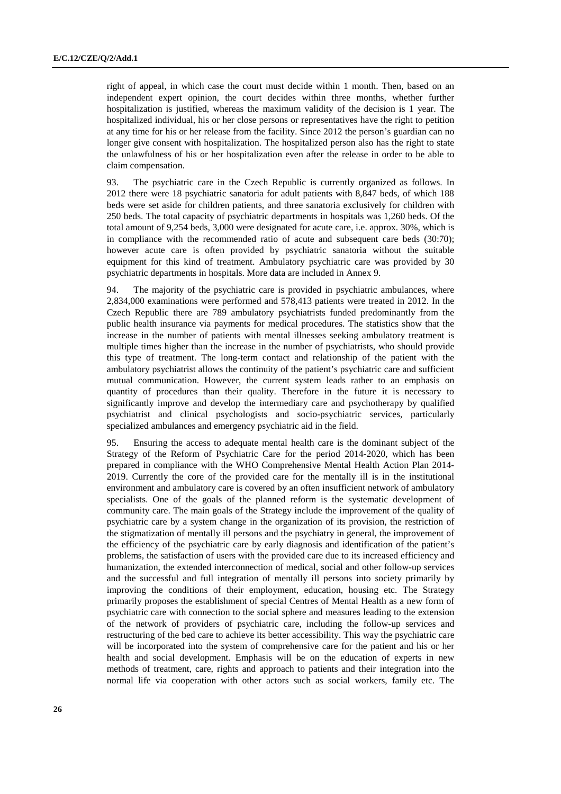right of appeal, in which case the court must decide within 1 month. Then, based on an independent expert opinion, the court decides within three months, whether further hospitalization is justified, whereas the maximum validity of the decision is 1 year. The hospitalized individual, his or her close persons or representatives have the right to petition at any time for his or her release from the facility. Since 2012 the person's guardian can no longer give consent with hospitalization. The hospitalized person also has the right to state the unlawfulness of his or her hospitalization even after the release in order to be able to claim compensation.

93. The psychiatric care in the Czech Republic is currently organized as follows. In 2012 there were 18 psychiatric sanatoria for adult patients with 8,847 beds, of which 188 beds were set aside for children patients, and three sanatoria exclusively for children with 250 beds. The total capacity of psychiatric departments in hospitals was 1,260 beds. Of the total amount of 9,254 beds, 3,000 were designated for acute care, i.e. approx. 30%, which is in compliance with the recommended ratio of acute and subsequent care beds (30:70); however acute care is often provided by psychiatric sanatoria without the suitable equipment for this kind of treatment. Ambulatory psychiatric care was provided by 30 psychiatric departments in hospitals. More data are included in Annex 9.

94. The majority of the psychiatric care is provided in psychiatric ambulances, where 2,834,000 examinations were performed and 578,413 patients were treated in 2012. In the Czech Republic there are 789 ambulatory psychiatrists funded predominantly from the public health insurance via payments for medical procedures. The statistics show that the increase in the number of patients with mental illnesses seeking ambulatory treatment is multiple times higher than the increase in the number of psychiatrists, who should provide this type of treatment. The long-term contact and relationship of the patient with the ambulatory psychiatrist allows the continuity of the patient's psychiatric care and sufficient mutual communication. However, the current system leads rather to an emphasis on quantity of procedures than their quality. Therefore in the future it is necessary to significantly improve and develop the intermediary care and psychotherapy by qualified psychiatrist and clinical psychologists and socio-psychiatric services, particularly specialized ambulances and emergency psychiatric aid in the field.

95. Ensuring the access to adequate mental health care is the dominant subject of the Strategy of the Reform of Psychiatric Care for the period 2014-2020, which has been prepared in compliance with the WHO Comprehensive Mental Health Action Plan 2014- 2019. Currently the core of the provided care for the mentally ill is in the institutional environment and ambulatory care is covered by an often insufficient network of ambulatory specialists. One of the goals of the planned reform is the systematic development of community care. The main goals of the Strategy include the improvement of the quality of psychiatric care by a system change in the organization of its provision, the restriction of the stigmatization of mentally ill persons and the psychiatry in general, the improvement of the efficiency of the psychiatric care by early diagnosis and identification of the patient's problems, the satisfaction of users with the provided care due to its increased efficiency and humanization, the extended interconnection of medical, social and other follow-up services and the successful and full integration of mentally ill persons into society primarily by improving the conditions of their employment, education, housing etc. The Strategy primarily proposes the establishment of special Centres of Mental Health as a new form of psychiatric care with connection to the social sphere and measures leading to the extension of the network of providers of psychiatric care, including the follow-up services and restructuring of the bed care to achieve its better accessibility. This way the psychiatric care will be incorporated into the system of comprehensive care for the patient and his or her health and social development. Emphasis will be on the education of experts in new methods of treatment, care, rights and approach to patients and their integration into the normal life via cooperation with other actors such as social workers, family etc. The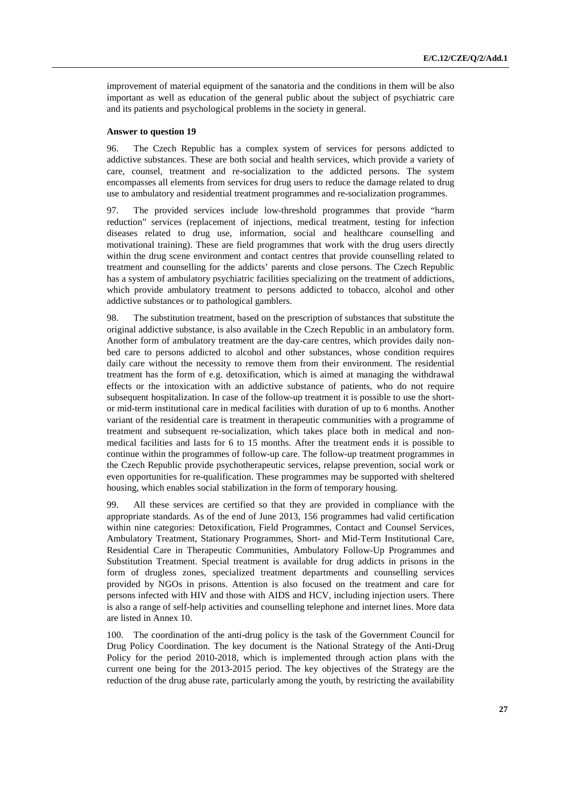improvement of material equipment of the sanatoria and the conditions in them will be also important as well as education of the general public about the subject of psychiatric care and its patients and psychological problems in the society in general.

#### **Answer to question 19**

96. The Czech Republic has a complex system of services for persons addicted to addictive substances. These are both social and health services, which provide a variety of care, counsel, treatment and re-socialization to the addicted persons. The system encompasses all elements from services for drug users to reduce the damage related to drug use to ambulatory and residential treatment programmes and re-socialization programmes.

97. The provided services include low-threshold programmes that provide "harm reduction" services (replacement of injections, medical treatment, testing for infection diseases related to drug use, information, social and healthcare counselling and motivational training). These are field programmes that work with the drug users directly within the drug scene environment and contact centres that provide counselling related to treatment and counselling for the addicts' parents and close persons. The Czech Republic has a system of ambulatory psychiatric facilities specializing on the treatment of addictions, which provide ambulatory treatment to persons addicted to tobacco, alcohol and other addictive substances or to pathological gamblers.

98. The substitution treatment, based on the prescription of substances that substitute the original addictive substance, is also available in the Czech Republic in an ambulatory form. Another form of ambulatory treatment are the day-care centres, which provides daily nonbed care to persons addicted to alcohol and other substances, whose condition requires daily care without the necessity to remove them from their environment. The residential treatment has the form of e.g. detoxification, which is aimed at managing the withdrawal effects or the intoxication with an addictive substance of patients, who do not require subsequent hospitalization. In case of the follow-up treatment it is possible to use the shortor mid-term institutional care in medical facilities with duration of up to 6 months. Another variant of the residential care is treatment in therapeutic communities with a programme of treatment and subsequent re-socialization, which takes place both in medical and nonmedical facilities and lasts for 6 to 15 months. After the treatment ends it is possible to continue within the programmes of follow-up care. The follow-up treatment programmes in the Czech Republic provide psychotherapeutic services, relapse prevention, social work or even opportunities for re-qualification. These programmes may be supported with sheltered housing, which enables social stabilization in the form of temporary housing.

99. All these services are certified so that they are provided in compliance with the appropriate standards. As of the end of June 2013, 156 programmes had valid certification within nine categories: Detoxification, Field Programmes, Contact and Counsel Services, Ambulatory Treatment, Stationary Programmes, Short- and Mid-Term Institutional Care, Residential Care in Therapeutic Communities, Ambulatory Follow-Up Programmes and Substitution Treatment. Special treatment is available for drug addicts in prisons in the form of drugless zones, specialized treatment departments and counselling services provided by NGOs in prisons. Attention is also focused on the treatment and care for persons infected with HIV and those with AIDS and HCV, including injection users. There is also a range of self-help activities and counselling telephone and internet lines. More data are listed in Annex 10.

100. The coordination of the anti-drug policy is the task of the Government Council for Drug Policy Coordination. The key document is the National Strategy of the Anti-Drug Policy for the period 2010-2018, which is implemented through action plans with the current one being for the 2013-2015 period. The key objectives of the Strategy are the reduction of the drug abuse rate, particularly among the youth, by restricting the availability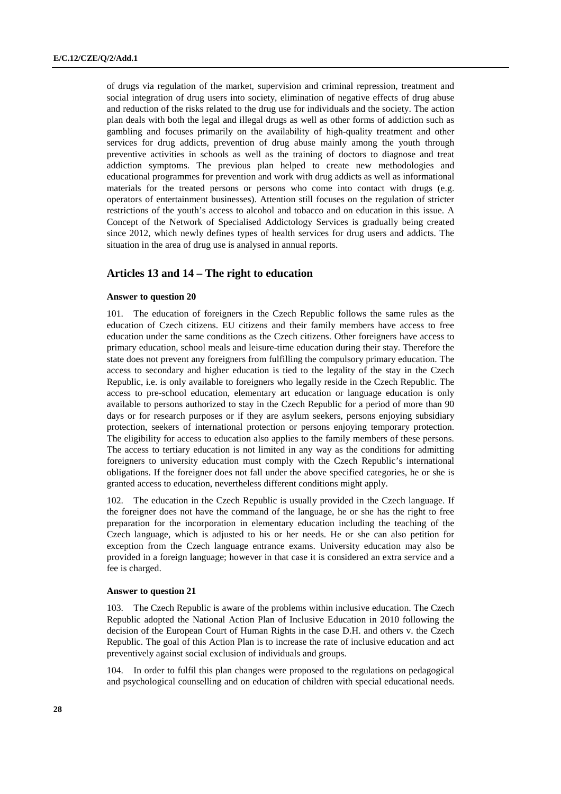of drugs via regulation of the market, supervision and criminal repression, treatment and social integration of drug users into society, elimination of negative effects of drug abuse and reduction of the risks related to the drug use for individuals and the society. The action plan deals with both the legal and illegal drugs as well as other forms of addiction such as gambling and focuses primarily on the availability of high-quality treatment and other services for drug addicts, prevention of drug abuse mainly among the youth through preventive activities in schools as well as the training of doctors to diagnose and treat addiction symptoms. The previous plan helped to create new methodologies and educational programmes for prevention and work with drug addicts as well as informational materials for the treated persons or persons who come into contact with drugs (e.g. operators of entertainment businesses). Attention still focuses on the regulation of stricter restrictions of the youth's access to alcohol and tobacco and on education in this issue. A Concept of the Network of Specialised Addictology Services is gradually being created since 2012, which newly defines types of health services for drug users and addicts. The situation in the area of drug use is analysed in annual reports.

## **Articles 13 and 14 – The right to education**

#### **Answer to question 20**

101. The education of foreigners in the Czech Republic follows the same rules as the education of Czech citizens. EU citizens and their family members have access to free education under the same conditions as the Czech citizens. Other foreigners have access to primary education, school meals and leisure-time education during their stay. Therefore the state does not prevent any foreigners from fulfilling the compulsory primary education. The access to secondary and higher education is tied to the legality of the stay in the Czech Republic, i.e. is only available to foreigners who legally reside in the Czech Republic. The access to pre-school education, elementary art education or language education is only available to persons authorized to stay in the Czech Republic for a period of more than 90 days or for research purposes or if they are asylum seekers, persons enjoying subsidiary protection, seekers of international protection or persons enjoying temporary protection. The eligibility for access to education also applies to the family members of these persons. The access to tertiary education is not limited in any way as the conditions for admitting foreigners to university education must comply with the Czech Republic's international obligations. If the foreigner does not fall under the above specified categories, he or she is granted access to education, nevertheless different conditions might apply.

102. The education in the Czech Republic is usually provided in the Czech language. If the foreigner does not have the command of the language, he or she has the right to free preparation for the incorporation in elementary education including the teaching of the Czech language, which is adjusted to his or her needs. He or she can also petition for exception from the Czech language entrance exams. University education may also be provided in a foreign language; however in that case it is considered an extra service and a fee is charged.

#### **Answer to question 21**

103. The Czech Republic is aware of the problems within inclusive education. The Czech Republic adopted the National Action Plan of Inclusive Education in 2010 following the decision of the European Court of Human Rights in the case D.H. and others v. the Czech Republic. The goal of this Action Plan is to increase the rate of inclusive education and act preventively against social exclusion of individuals and groups.

104. In order to fulfil this plan changes were proposed to the regulations on pedagogical and psychological counselling and on education of children with special educational needs.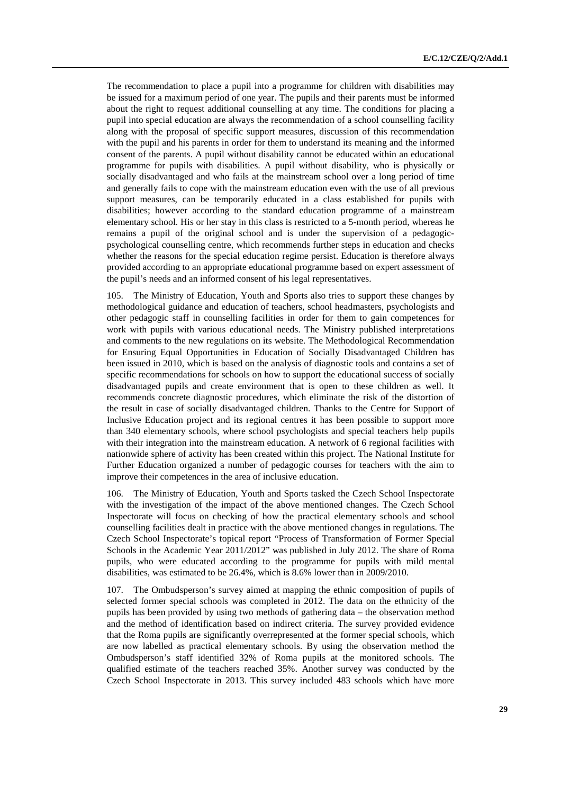The recommendation to place a pupil into a programme for children with disabilities may be issued for a maximum period of one year. The pupils and their parents must be informed about the right to request additional counselling at any time. The conditions for placing a pupil into special education are always the recommendation of a school counselling facility along with the proposal of specific support measures, discussion of this recommendation with the pupil and his parents in order for them to understand its meaning and the informed consent of the parents. A pupil without disability cannot be educated within an educational programme for pupils with disabilities. A pupil without disability, who is physically or socially disadvantaged and who fails at the mainstream school over a long period of time and generally fails to cope with the mainstream education even with the use of all previous support measures, can be temporarily educated in a class established for pupils with disabilities; however according to the standard education programme of a mainstream elementary school. His or her stay in this class is restricted to a 5-month period, whereas he remains a pupil of the original school and is under the supervision of a pedagogicpsychological counselling centre, which recommends further steps in education and checks whether the reasons for the special education regime persist. Education is therefore always provided according to an appropriate educational programme based on expert assessment of the pupil's needs and an informed consent of his legal representatives.

105. The Ministry of Education, Youth and Sports also tries to support these changes by methodological guidance and education of teachers, school headmasters, psychologists and other pedagogic staff in counselling facilities in order for them to gain competences for work with pupils with various educational needs. The Ministry published interpretations and comments to the new regulations on its website. The Methodological Recommendation for Ensuring Equal Opportunities in Education of Socially Disadvantaged Children has been issued in 2010, which is based on the analysis of diagnostic tools and contains a set of specific recommendations for schools on how to support the educational success of socially disadvantaged pupils and create environment that is open to these children as well. It recommends concrete diagnostic procedures, which eliminate the risk of the distortion of the result in case of socially disadvantaged children. Thanks to the Centre for Support of Inclusive Education project and its regional centres it has been possible to support more than 340 elementary schools, where school psychologists and special teachers help pupils with their integration into the mainstream education. A network of 6 regional facilities with nationwide sphere of activity has been created within this project. The National Institute for Further Education organized a number of pedagogic courses for teachers with the aim to improve their competences in the area of inclusive education.

106. The Ministry of Education, Youth and Sports tasked the Czech School Inspectorate with the investigation of the impact of the above mentioned changes. The Czech School Inspectorate will focus on checking of how the practical elementary schools and school counselling facilities dealt in practice with the above mentioned changes in regulations. The Czech School Inspectorate's topical report "Process of Transformation of Former Special Schools in the Academic Year 2011/2012" was published in July 2012. The share of Roma pupils, who were educated according to the programme for pupils with mild mental disabilities, was estimated to be 26.4%, which is 8.6% lower than in 2009/2010.

107. The Ombudsperson's survey aimed at mapping the ethnic composition of pupils of selected former special schools was completed in 2012. The data on the ethnicity of the pupils has been provided by using two methods of gathering data – the observation method and the method of identification based on indirect criteria. The survey provided evidence that the Roma pupils are significantly overrepresented at the former special schools, which are now labelled as practical elementary schools. By using the observation method the Ombudsperson's staff identified 32% of Roma pupils at the monitored schools. The qualified estimate of the teachers reached 35%. Another survey was conducted by the Czech School Inspectorate in 2013. This survey included 483 schools which have more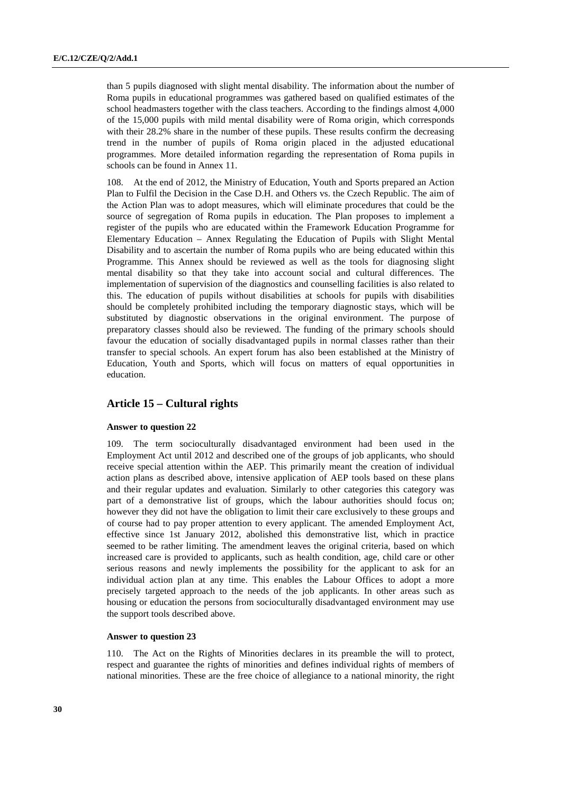than 5 pupils diagnosed with slight mental disability. The information about the number of Roma pupils in educational programmes was gathered based on qualified estimates of the school headmasters together with the class teachers. According to the findings almost 4,000 of the 15,000 pupils with mild mental disability were of Roma origin, which corresponds with their 28.2% share in the number of these pupils. These results confirm the decreasing trend in the number of pupils of Roma origin placed in the adjusted educational programmes. More detailed information regarding the representation of Roma pupils in schools can be found in Annex 11.

108. At the end of 2012, the Ministry of Education, Youth and Sports prepared an Action Plan to Fulfil the Decision in the Case D.H. and Others vs. the Czech Republic. The aim of the Action Plan was to adopt measures, which will eliminate procedures that could be the source of segregation of Roma pupils in education. The Plan proposes to implement a register of the pupils who are educated within the Framework Education Programme for Elementary Education – Annex Regulating the Education of Pupils with Slight Mental Disability and to ascertain the number of Roma pupils who are being educated within this Programme. This Annex should be reviewed as well as the tools for diagnosing slight mental disability so that they take into account social and cultural differences. The implementation of supervision of the diagnostics and counselling facilities is also related to this. The education of pupils without disabilities at schools for pupils with disabilities should be completely prohibited including the temporary diagnostic stays, which will be substituted by diagnostic observations in the original environment. The purpose of preparatory classes should also be reviewed. The funding of the primary schools should favour the education of socially disadvantaged pupils in normal classes rather than their transfer to special schools. An expert forum has also been established at the Ministry of Education, Youth and Sports, which will focus on matters of equal opportunities in education.

#### **Article 15 – Cultural rights**

#### **Answer to question 22**

109. The term socioculturally disadvantaged environment had been used in the Employment Act until 2012 and described one of the groups of job applicants, who should receive special attention within the AEP. This primarily meant the creation of individual action plans as described above, intensive application of AEP tools based on these plans and their regular updates and evaluation. Similarly to other categories this category was part of a demonstrative list of groups, which the labour authorities should focus on; however they did not have the obligation to limit their care exclusively to these groups and of course had to pay proper attention to every applicant. The amended Employment Act, effective since 1st January 2012, abolished this demonstrative list, which in practice seemed to be rather limiting. The amendment leaves the original criteria, based on which increased care is provided to applicants, such as health condition, age, child care or other serious reasons and newly implements the possibility for the applicant to ask for an individual action plan at any time. This enables the Labour Offices to adopt a more precisely targeted approach to the needs of the job applicants. In other areas such as housing or education the persons from socioculturally disadvantaged environment may use the support tools described above.

#### **Answer to question 23**

110. The Act on the Rights of Minorities declares in its preamble the will to protect, respect and guarantee the rights of minorities and defines individual rights of members of national minorities. These are the free choice of allegiance to a national minority, the right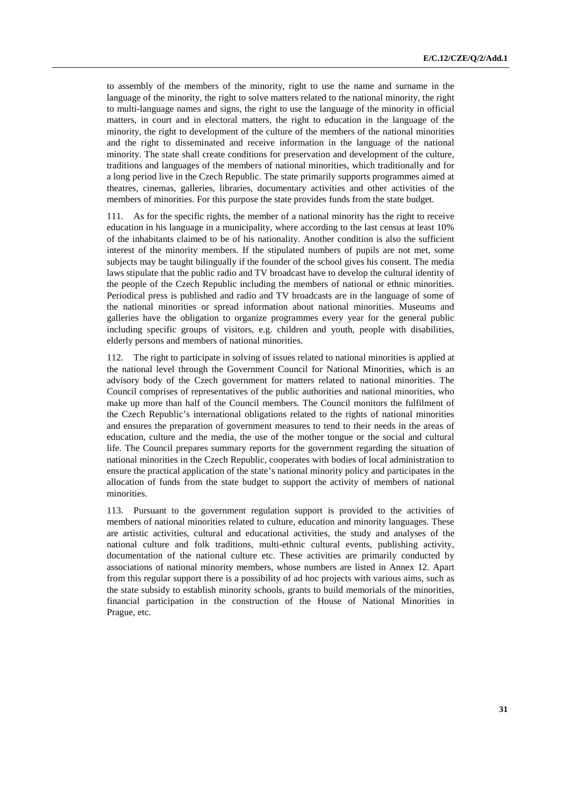to assembly of the members of the minority, right to use the name and surname in the language of the minority, the right to solve matters related to the national minority, the right to multi-language names and signs, the right to use the language of the minority in official matters, in court and in electoral matters, the right to education in the language of the minority, the right to development of the culture of the members of the national minorities and the right to disseminated and receive information in the language of the national minority. The state shall create conditions for preservation and development of the culture, traditions and languages of the members of national minorities, which traditionally and for a long period live in the Czech Republic. The state primarily supports programmes aimed at theatres, cinemas, galleries, libraries, documentary activities and other activities of the members of minorities. For this purpose the state provides funds from the state budget.

111. As for the specific rights, the member of a national minority has the right to receive education in his language in a municipality, where according to the last census at least 10% of the inhabitants claimed to be of his nationality. Another condition is also the sufficient interest of the minority members. If the stipulated numbers of pupils are not met, some subjects may be taught bilingually if the founder of the school gives his consent. The media laws stipulate that the public radio and TV broadcast have to develop the cultural identity of the people of the Czech Republic including the members of national or ethnic minorities. Periodical press is published and radio and TV broadcasts are in the language of some of the national minorities or spread information about national minorities. Museums and galleries have the obligation to organize programmes every year for the general public including specific groups of visitors, e.g. children and youth, people with disabilities, elderly persons and members of national minorities.

112. The right to participate in solving of issues related to national minorities is applied at the national level through the Government Council for National Minorities, which is an advisory body of the Czech government for matters related to national minorities. The Council comprises of representatives of the public authorities and national minorities, who make up more than half of the Council members. The Council monitors the fulfilment of the Czech Republic's international obligations related to the rights of national minorities and ensures the preparation of government measures to tend to their needs in the areas of education, culture and the media, the use of the mother tongue or the social and cultural life. The Council prepares summary reports for the government regarding the situation of national minorities in the Czech Republic, cooperates with bodies of local administration to ensure the practical application of the state's national minority policy and participates in the allocation of funds from the state budget to support the activity of members of national minorities.

113. Pursuant to the government regulation support is provided to the activities of members of national minorities related to culture, education and minority languages. These are artistic activities, cultural and educational activities, the study and analyses of the national culture and folk traditions, multi-ethnic cultural events, publishing activity, documentation of the national culture etc. These activities are primarily conducted by associations of national minority members, whose numbers are listed in Annex 12. Apart from this regular support there is a possibility of ad hoc projects with various aims, such as the state subsidy to establish minority schools, grants to build memorials of the minorities, financial participation in the construction of the House of National Minorities in Prague, etc.